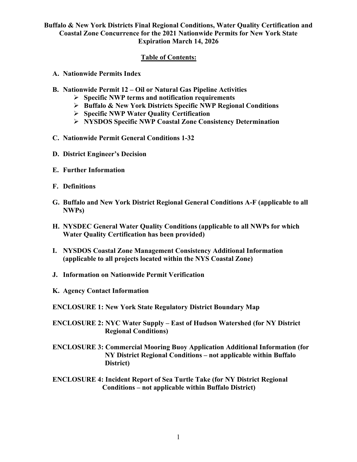### **Table of Contents:**

- **A. Nationwide Permits Index**
- **B. Nationwide Permit 12 – Oil or Natural Gas Pipeline Activities**
	- **Specific NWP terms and notification requirements**
	- **Buffalo & New York Districts Specific NWP Regional Conditions**
	- **Specific NWP Water Quality Certification**
	- **NYSDOS Specific NWP Coastal Zone Consistency Determination**
- **C. Nationwide Permit General Conditions 1-32**
- **D. District Engineer's Decision**
- **E. Further Information**
- **F. Definitions**
- **G. Buffalo and New York District Regional General Conditions A-F (applicable to all NWPs)**
- **H. NYSDEC General Water Quality Conditions (applicable to all NWPs for which Water Quality Certification has been provided)**
- **I. NYSDOS Coastal Zone Management Consistency Additional Information (applicable to all projects located within the NYS Coastal Zone)**
- **J. Information on Nationwide Permit Verification**
- **K. Agency Contact Information**

**ENCLOSURE 1: New York State Regulatory District Boundary Map**

- **ENCLOSURE 2: NYC Water Supply – East of Hudson Watershed (for NY District Regional Conditions)**
- **ENCLOSURE 3: Commercial Mooring Buoy Application Additional Information (for NY District Regional Conditions – not applicable within Buffalo District)**
- **ENCLOSURE 4: Incident Report of Sea Turtle Take (for NY District Regional Conditions – not applicable within Buffalo District)**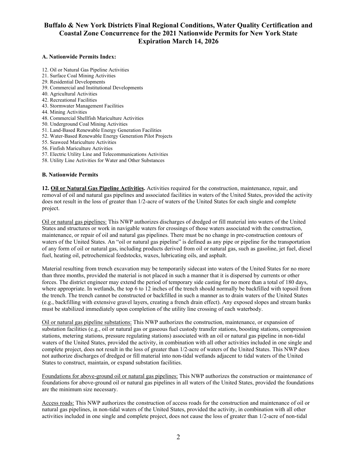#### **A. Nationwide Permits Index:**

- 12. Oil or Natural Gas Pipeline Activities
- 21. Surface Coal Mining Activities
- 29. Residential Developments
- 39. Commercial and Institutional Developments
- 40. Agricultural Activities
- 42. Recreational Facilities
- 43. Stormwater Management Facilities
- 44. Mining Activities
- 48. Commercial Shellfish Mariculture Activities
- 50. Underground Coal Mining Activities
- 51. Land-Based Renewable Energy Generation Facilities
- 52. Water-Based Renewable Energy Generation Pilot Projects
- 55. Seaweed Mariculture Activities
- 56. Finfish Mariculture Activities
- 57. Electric Utility Line and Telecommunications Activities
- 58. Utility Line Activities for Water and Other Substances

#### **B. Nationwide Permits**

**12. Oil or Natural Gas Pipeline Activities.** Activities required for the construction, maintenance, repair, and removal of oil and natural gas pipelines and associated facilities in waters of the United States, provided the activity does not result in the loss of greater than 1/2-acre of waters of the United States for each single and complete project.

Oil or natural gas pipelines: This NWP authorizes discharges of dredged or fill material into waters of the United States and structures or work in navigable waters for crossings of those waters associated with the construction, maintenance, or repair of oil and natural gas pipelines. There must be no change in pre-construction contours of waters of the United States. An "oil or natural gas pipeline" is defined as any pipe or pipeline for the transportation of any form of oil or natural gas, including products derived from oil or natural gas, such as gasoline, jet fuel, diesel fuel, heating oil, petrochemical feedstocks, waxes, lubricating oils, and asphalt.

Material resulting from trench excavation may be temporarily sidecast into waters of the United States for no more than three months, provided the material is not placed in such a manner that it is dispersed by currents or other forces. The district engineer may extend the period of temporary side casting for no more than a total of 180 days, where appropriate. In wetlands, the top 6 to 12 inches of the trench should normally be backfilled with topsoil from the trench. The trench cannot be constructed or backfilled in such a manner as to drain waters of the United States (e.g., backfilling with extensive gravel layers, creating a french drain effect). Any exposed slopes and stream banks must be stabilized immediately upon completion of the utility line crossing of each waterbody.

Oil or natural gas pipeline substations: This NWP authorizes the construction, maintenance, or expansion of substation facilities (e.g., oil or natural gas or gaseous fuel custody transfer stations, boosting stations, compression stations, metering stations, pressure regulating stations) associated with an oil or natural gas pipeline in non-tidal waters of the United States, provided the activity, in combination with all other activities included in one single and complete project, does not result in the loss of greater than 1/2-acre of waters of the United States. This NWP does not authorize discharges of dredged or fill material into non-tidal wetlands adjacent to tidal waters of the United States to construct, maintain, or expand substation facilities.

Foundations for above-ground oil or natural gas pipelines: This NWP authorizes the construction or maintenance of foundations for above-ground oil or natural gas pipelines in all waters of the United States, provided the foundations are the minimum size necessary.

Access roads: This NWP authorizes the construction of access roads for the construction and maintenance of oil or natural gas pipelines, in non-tidal waters of the United States, provided the activity, in combination with all other activities included in one single and complete project, does not cause the loss of greater than 1/2-acre of non-tidal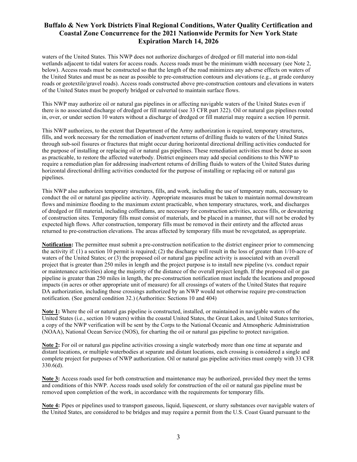waters of the United States. This NWP does not authorize discharges of dredged or fill material into non-tidal wetlands adjacent to tidal waters for access roads. Access roads must be the minimum width necessary (see Note 2, below). Access roads must be constructed so that the length of the road minimizes any adverse effects on waters of the United States and must be as near as possible to pre-construction contours and elevations (e.g., at grade corduroy roads or geotextile/gravel roads). Access roads constructed above pre-construction contours and elevations in waters of the United States must be properly bridged or culverted to maintain surface flows.

This NWP may authorize oil or natural gas pipelines in or affecting navigable waters of the United States even if there is no associated discharge of dredged or fill material (see 33 CFR part 322). Oil or natural gas pipelines routed in, over, or under section 10 waters without a discharge of dredged or fill material may require a section 10 permit.

This NWP authorizes, to the extent that Department of the Army authorization is required, temporary structures, fills, and work necessary for the remediation of inadvertent returns of drilling fluids to waters of the United States through sub-soil fissures or fractures that might occur during horizontal directional drilling activities conducted for the purpose of installing or replacing oil or natural gas pipelines. These remediation activities must be done as soon as practicable, to restore the affected waterbody. District engineers may add special conditions to this NWP to require a remediation plan for addressing inadvertent returns of drilling fluids to waters of the United States during horizontal directional drilling activities conducted for the purpose of installing or replacing oil or natural gas pipelines.

This NWP also authorizes temporary structures, fills, and work, including the use of temporary mats, necessary to conduct the oil or natural gas pipeline activity. Appropriate measures must be taken to maintain normal downstream flows and minimize flooding to the maximum extent practicable, when temporary structures, work, and discharges of dredged or fill material, including cofferdams, are necessary for construction activities, access fills, or dewatering of construction sites. Temporary fills must consist of materials, and be placed in a manner, that will not be eroded by expected high flows. After construction, temporary fills must be removed in their entirety and the affected areas returned to pre-construction elevations. The areas affected by temporary fills must be revegetated, as appropriate.

**Notification:** The permittee must submit a pre-construction notification to the district engineer prior to commencing the activity if: (1) a section 10 permit is required; (2) the discharge will result in the loss of greater than  $1/10$ -acre of waters of the United States; or (3) the proposed oil or natural gas pipeline activity is associated with an overall project that is greater than 250 miles in length and the project purpose is to install new pipeline (vs. conduct repair or maintenance activities) along the majority of the distance of the overall project length. If the proposed oil or gas pipeline is greater than 250 miles in length, the pre-construction notification must include the locations and proposed impacts (in acres or other appropriate unit of measure) for all crossings of waters of the United States that require DA authorization, including those crossings authorized by an NWP would not otherwise require pre-construction notification. (See general condition 32.) (Authorities: Sections 10 and 404)

**Note 1:** Where the oil or natural gas pipeline is constructed, installed, or maintained in navigable waters of the United States (i.e., section 10 waters) within the coastal United States, the Great Lakes, and United States territories, a copy of the NWP verification will be sent by the Corps to the National Oceanic and Atmospheric Administration (NOAA), National Ocean Service (NOS), for charting the oil or natural gas pipeline to protect navigation.

**Note 2:** For oil or natural gas pipeline activities crossing a single waterbody more than one time at separate and distant locations, or multiple waterbodies at separate and distant locations, each crossing is considered a single and complete project for purposes of NWP authorization. Oil or natural gas pipeline activities must comply with 33 CFR 330.6(d).

**Note 3:** Access roads used for both construction and maintenance may be authorized, provided they meet the terms and conditions of this NWP. Access roads used solely for construction of the oil or natural gas pipeline must be removed upon completion of the work, in accordance with the requirements for temporary fills.

**Note 4:** Pipes or pipelines used to transport gaseous, liquid, liquescent, or slurry substances over navigable waters of the United States, are considered to be bridges and may require a permit from the U.S. Coast Guard pursuant to the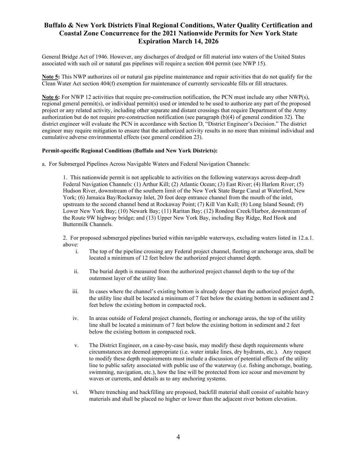General Bridge Act of 1946. However, any discharges of dredged or fill material into waters of the United States associated with such oil or natural gas pipelines will require a section 404 permit (see NWP 15).

**Note 5:** This NWP authorizes oil or natural gas pipeline maintenance and repair activities that do not qualify for the Clean Water Act section 404(f) exemption for maintenance of currently serviceable fills or fill structures.

**Note 6:** For NWP 12 activities that require pre-construction notification, the PCN must include any other NWP(s), regional general permit(s), or individual permit(s) used or intended to be used to authorize any part of the proposed project or any related activity, including other separate and distant crossings that require Department of the Army authorization but do not require pre-construction notification (see paragraph (b)(4) of general condition 32). The district engineer will evaluate the PCN in accordance with Section D, "District Engineer's Decision." The district engineer may require mitigation to ensure that the authorized activity results in no more than minimal individual and cumulative adverse environmental effects (see general condition 23).

#### **Permit-specific Regional Conditions (Buffalo and New York Districts):**

a. For Submerged Pipelines Across Navigable Waters and Federal Navigation Channels:

1. This nationwide permit is not applicable to activities on the following waterways across deep-draft Federal Navigation Channels: (1) Arthur Kill; (2) Atlantic Ocean; (3) East River; (4) Harlem River; (5) Hudson River, downstream of the southern limit of the New York State Barge Canal at Waterford, New York; (6) Jamaica Bay/Rockaway Inlet, 20 foot deep entrance channel from the mouth of the inlet, upstream to the second channel bend at Rockaway Point; (7) Kill Van Kull; (8) Long Island Sound; (9) Lower New York Bay; (10) Newark Bay; (11) Raritan Bay; (12) Rondout Creek/Harbor, downstream of the Route 9W highway bridge; and (13) Upper New York Bay, including Bay Ridge, Red Hook and Buttermilk Channels.

2. For proposed submerged pipelines buried within navigable waterways, excluding waters listed in 12.a.1. above:

- i. The top of the pipeline crossing any Federal project channel, fleeting or anchorage area, shall be located a minimum of 12 feet below the authorized project channel depth.
- ii. The burial depth is measured from the authorized project channel depth to the top of the outermost layer of the utility line.
- iii. In cases where the channel's existing bottom is already deeper than the authorized project depth, the utility line shall be located a minimum of 7 feet below the existing bottom in sediment and 2 feet below the existing bottom in compacted rock.
- iv. In areas outside of Federal project channels, fleeting or anchorage areas, the top of the utility line shall be located a minimum of 7 feet below the existing bottom in sediment and 2 feet below the existing bottom in compacted rock.
- v. The District Engineer, on a case-by-case basis, may modify these depth requirements where circumstances are deemed appropriate (i.e. water intake lines, dry hydrants, etc.). Any request to modify these depth requirements must include a discussion of potential effects of the utility line to public safety associated with public use of the waterway (i.e. fishing anchorage, boating, swimming, navigation, etc.), how the line will be protected from ice scour and movement by waves or currents, and details as to any anchoring systems.
- vi. Where trenching and backfilling are proposed, backfill material shall consist of suitable heavy materials and shall be placed no higher or lower than the adjacent river bottom elevation.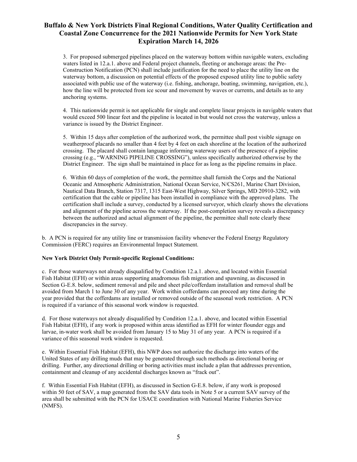3. For proposed submerged pipelines placed on the waterway bottom within navigable waters, excluding waters listed in 12.a.1. above and Federal project channels, fleeting or anchorage areas: the Pre-Construction Notification (PCN) shall include justification for the need to place the utility line on the waterway bottom, a discussion on potential effects of the proposed exposed utility line to public safety associated with public use of the waterway (i.e. fishing, anchorage, boating, swimming, navigation, etc.), how the line will be protected from ice scour and movement by waves or currents, and details as to any anchoring systems.

4. This nationwide permit is not applicable for single and complete linear projects in navigable waters that would exceed 500 linear feet and the pipeline is located in but would not cross the waterway, unless a variance is issued by the District Engineer.

5. Within 15 days after completion of the authorized work, the permittee shall post visible signage on weatherproof placards no smaller than 4 feet by 4 feet on each shoreline at the location of the authorized crossing. The placard shall contain language informing waterway users of the presence of a pipeline crossing (e.g., "WARNING PIPELINE CROSSING"), unless specifically authorized otherwise by the District Engineer. The sign shall be maintained in place for as long as the pipeline remains in place.

6. Within 60 days of completion of the work, the permittee shall furnish the Corps and the National Oceanic and Atmospheric Administration, National Ocean Service, N/CS261, Marine Chart Division, Nautical Data Branch, Station 7317, 1315 East-West Highway, Silver Springs, MD 20910-3282, with certification that the cable or pipeline has been installed in compliance with the approved plans. The certification shall include a survey, conducted by a licensed surveyor, which clearly shows the elevations and alignment of the pipeline across the waterway. If the post-completion survey reveals a discrepancy between the authorized and actual alignment of the pipeline, the permittee shall note clearly these discrepancies in the survey.

b. A PCN is required for any utility line or transmission facility whenever the Federal Energy Regulatory Commission (FERC) requires an Environmental Impact Statement.

#### **New York District Only Permit-specific Regional Conditions:**

c. For those waterways not already disqualified by Condition 12.a.1. above, and located within Essential Fish Habitat (EFH) or within areas supporting anadromous fish migration and spawning, as discussed in Section G-E.8. below, sediment removal and pile and sheet pile/cofferdam installation and removal shall be avoided from March 1 to June 30 of any year. Work within cofferdams can proceed any time during the year provided that the cofferdams are installed or removed outside of the seasonal work restriction. A PCN is required if a variance of this seasonal work window is requested.

d. For those waterways not already disqualified by Condition 12.a.1. above, and located within Essential Fish Habitat (EFH), if any work is proposed within areas identified as EFH for winter flounder eggs and larvae, in-water work shall be avoided from January 15 to May 31 of any year. A PCN is required if a variance of this seasonal work window is requested.

e. Within Essential Fish Habitat (EFH), this NWP does not authorize the discharge into waters of the United States of any drilling muds that may be generated through such methods as directional boring or drilling. Further, any directional drilling or boring activities must include a plan that addresses prevention, containment and cleanup of any accidental discharges known as "frack out".

f. Within Essential Fish Habitat (EFH), as discussed in Section G-E.8. below, if any work is proposed within 50 feet of SAV, a map generated from the SAV data tools in Note 5 or a current SAV survey of the area shall be submitted with the PCN for USACE coordination with National Marine Fisheries Service (NMFS).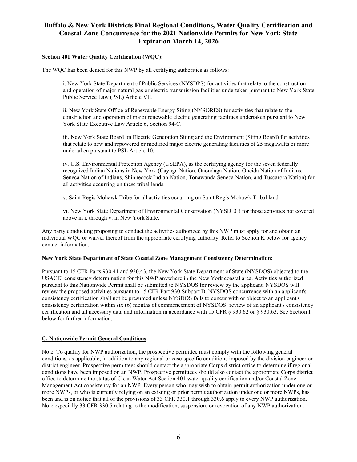#### **Section 401 Water Quality Certification (WQC):**

The WQC has been denied for this NWP by all certifying authorities as follows:

i. New York State Department of Public Services (NYSDPS) for activities that relate to the construction and operation of major natural gas or electric transmission facilities undertaken pursuant to New York State Public Service Law (PSL) Article VII.

ii. New York State Office of Renewable Energy Siting (NYSORES) for activities that relate to the construction and operation of major renewable electric generating facilities undertaken pursuant to New York State Executive Law Article 6, Section 94-C.

iii. New York State Board on Electric Generation Siting and the Environment (Siting Board) for activities that relate to new and repowered or modified major electric generating facilities of 25 megawatts or more undertaken pursuant to PSL Article 10.

iv. U.S. Environmental Protection Agency (USEPA), as the certifying agency for the seven federally recognized Indian Nations in New York (Cayuga Nation, Onondaga Nation, Oneida Nation of Indians, Seneca Nation of Indians, Shinnecock Indian Nation, Tonawanda Seneca Nation, and Tuscarora Nation) for all activities occurring on these tribal lands.

v. Saint Regis Mohawk Tribe for all activities occurring on Saint Regis Mohawk Tribal land.

vi. New York State Department of Environmental Conservation (NYSDEC) for those activities not covered above in i. through v. in New York State.

Any party conducting proposing to conduct the activities authorized by this NWP must apply for and obtain an individual WQC or waiver thereof from the appropriate certifying authority. Refer to Section K below for agency contact information.

#### **New York State Department of State Coastal Zone Management Consistency Determination:**

Pursuant to 15 CFR Parts 930.41 and 930.43, the New York State Department of State (NYSDOS) objected to the USACE' consistency determination for this NWP anywhere in the New York coastal area. Activities authorized pursuant to this Nationwide Permit shall be submitted to NYSDOS for review by the applicant. NYSDOS will review the proposed activities pursuant to 15 CFR Part 930 Subpart D. NYSDOS concurrence with an applicant's consistency certification shall not be presumed unless NYSDOS fails to concur with or object to an applicant's consistency certification within six (6) months of commencement of NYSDOS' review of an applicant's consistency certification and all necessary data and information in accordance with 15 CFR § 930.62 or § 930.63. See Section I below for further information.

#### **C. Nationwide Permit General Conditions**

Note: To qualify for NWP authorization, the prospective permittee must comply with the following general conditions, as applicable, in addition to any regional or case-specific conditions imposed by the division engineer or district engineer. Prospective permittees should contact the appropriate Corps district office to determine if regional conditions have been imposed on an NWP. Prospective permittees should also contact the appropriate Corps district office to determine the status of Clean Water Act Section 401 water quality certification and/or Coastal Zone Management Act consistency for an NWP. Every person who may wish to obtain permit authorization under one or more NWPs, or who is currently relying on an existing or prior permit authorization under one or more NWPs, has been and is on notice that all of the provisions of 33 CFR 330.1 through 330.6 apply to every NWP authorization. Note especially 33 CFR 330.5 relating to the modification, suspension, or revocation of any NWP authorization.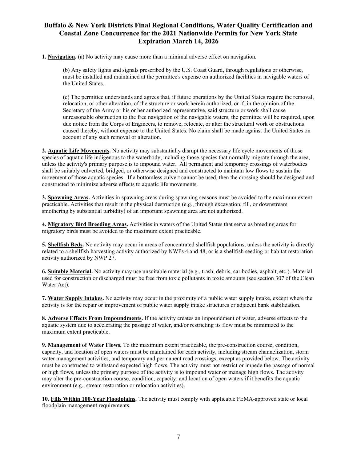**1. Navigation.** (a) No activity may cause more than a minimal adverse effect on navigation.

(b) Any safety lights and signals prescribed by the U.S. Coast Guard, through regulations or otherwise, must be installed and maintained at the permittee's expense on authorized facilities in navigable waters of the United States.

(c) The permittee understands and agrees that, if future operations by the United States require the removal, relocation, or other alteration, of the structure or work herein authorized, or if, in the opinion of the Secretary of the Army or his or her authorized representative, said structure or work shall cause unreasonable obstruction to the free navigation of the navigable waters, the permittee will be required, upon due notice from the Corps of Engineers, to remove, relocate, or alter the structural work or obstructions caused thereby, without expense to the United States. No claim shall be made against the United States on account of any such removal or alteration.

**2. Aquatic Life Movements.** No activity may substantially disrupt the necessary life cycle movements of those species of aquatic life indigenous to the waterbody, including those species that normally migrate through the area, unless the activity's primary purpose is to impound water. All permanent and temporary crossings of waterbodies shall be suitably culverted, bridged, or otherwise designed and constructed to maintain low flows to sustain the movement of those aquatic species. If a bottomless culvert cannot be used, then the crossing should be designed and constructed to minimize adverse effects to aquatic life movements.

**3. Spawning Areas.** Activities in spawning areas during spawning seasons must be avoided to the maximum extent practicable. Activities that result in the physical destruction (e.g., through excavation, fill, or downstream smothering by substantial turbidity) of an important spawning area are not authorized.

**4. Migratory Bird Breeding Areas.** Activities in waters of the United States that serve as breeding areas for migratory birds must be avoided to the maximum extent practicable.

**5. Shellfish Beds.** No activity may occur in areas of concentrated shellfish populations, unless the activity is directly related to a shellfish harvesting activity authorized by NWPs 4 and 48, or is a shellfish seeding or habitat restoration activity authorized by NWP 27.

**6. Suitable Material.** No activity may use unsuitable material (e.g., trash, debris, car bodies, asphalt, etc.). Material used for construction or discharged must be free from toxic pollutants in toxic amounts (see section 307 of the Clean Water Act).

**7. Water Supply Intakes.** No activity may occur in the proximity of a public water supply intake, except where the activity is for the repair or improvement of public water supply intake structures or adjacent bank stabilization.

**8. Adverse Effects From Impoundments.** If the activity creates an impoundment of water, adverse effects to the aquatic system due to accelerating the passage of water, and/or restricting its flow must be minimized to the maximum extent practicable.

**9. Management of Water Flows.** To the maximum extent practicable, the pre-construction course, condition, capacity, and location of open waters must be maintained for each activity, including stream channelization, storm water management activities, and temporary and permanent road crossings, except as provided below. The activity must be constructed to withstand expected high flows. The activity must not restrict or impede the passage of normal or high flows, unless the primary purpose of the activity is to impound water or manage high flows. The activity may alter the pre-construction course, condition, capacity, and location of open waters if it benefits the aquatic environment (e.g., stream restoration or relocation activities).

**10. Fills Within 100-Year Floodplains.** The activity must comply with applicable FEMA-approved state or local floodplain management requirements.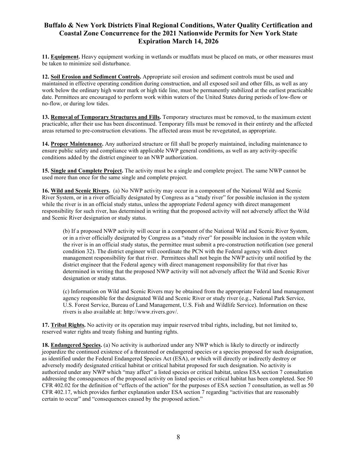**11. Equipment.** Heavy equipment working in wetlands or mudflats must be placed on mats, or other measures must be taken to minimize soil disturbance.

**12. Soil Erosion and Sediment Controls.** Appropriate soil erosion and sediment controls must be used and maintained in effective operating condition during construction, and all exposed soil and other fills, as well as any work below the ordinary high water mark or high tide line, must be permanently stabilized at the earliest practicable date. Permittees are encouraged to perform work within waters of the United States during periods of low-flow or no-flow, or during low tides.

**13. Removal of Temporary Structures and Fills.** Temporary structures must be removed, to the maximum extent practicable, after their use has been discontinued. Temporary fills must be removed in their entirety and the affected areas returned to pre-construction elevations. The affected areas must be revegetated, as appropriate.

**14. Proper Maintenance.** Any authorized structure or fill shall be properly maintained, including maintenance to ensure public safety and compliance with applicable NWP general conditions, as well as any activity-specific conditions added by the district engineer to an NWP authorization.

**15. Single and Complete Project.** The activity must be a single and complete project. The same NWP cannot be used more than once for the same single and complete project.

**16. Wild and Scenic Rivers.** (a) No NWP activity may occur in a component of the National Wild and Scenic River System, or in a river officially designated by Congress as a "study river" for possible inclusion in the system while the river is in an official study status, unless the appropriate Federal agency with direct management responsibility for such river, has determined in writing that the proposed activity will not adversely affect the Wild and Scenic River designation or study status.

(b) If a proposed NWP activity will occur in a component of the National Wild and Scenic River System, or in a river officially designated by Congress as a "study river" for possible inclusion in the system while the river is in an official study status, the permittee must submit a pre-construction notification (see general condition 32). The district engineer will coordinate the PCN with the Federal agency with direct management responsibility for that river. Permittees shall not begin the NWP activity until notified by the district engineer that the Federal agency with direct management responsibility for that river has determined in writing that the proposed NWP activity will not adversely affect the Wild and Scenic River designation or study status.

(c) Information on Wild and Scenic Rivers may be obtained from the appropriate Federal land management agency responsible for the designated Wild and Scenic River or study river (e.g., National Park Service, U.S. Forest Service, Bureau of Land Management, U.S. Fish and Wildlife Service). Information on these rivers is also available at: http://www.rivers.gov/.

**17. Tribal Rights.** No activity or its operation may impair reserved tribal rights, including, but not limited to, reserved water rights and treaty fishing and hunting rights.

**18. Endangered Species.** (a) No activity is authorized under any NWP which is likely to directly or indirectly jeopardize the continued existence of a threatened or endangered species or a species proposed for such designation, as identified under the Federal Endangered Species Act (ESA), or which will directly or indirectly destroy or adversely modify designated critical habitat or critical habitat proposed for such designation. No activity is authorized under any NWP which "may affect" a listed species or critical habitat, unless ESA section 7 consultation addressing the consequences of the proposed activity on listed species or critical habitat has been completed. See 50 CFR 402.02 for the definition of "effects of the action" for the purposes of ESA section 7 consultation, as well as 50 CFR 402.17, which provides further explanation under ESA section 7 regarding "activities that are reasonably certain to occur" and "consequences caused by the proposed action."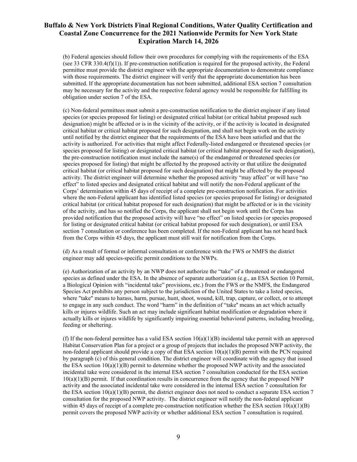(b) Federal agencies should follow their own procedures for complying with the requirements of the ESA (see 33 CFR 330.4(f)(1)). If pre-construction notification is required for the proposed activity, the Federal permittee must provide the district engineer with the appropriate documentation to demonstrate compliance with those requirements. The district engineer will verify that the appropriate documentation has been submitted. If the appropriate documentation has not been submitted, additional ESA section 7 consultation may be necessary for the activity and the respective federal agency would be responsible for fulfilling its obligation under section 7 of the ESA.

(c) Non-federal permittees must submit a pre-construction notification to the district engineer if any listed species (or species proposed for listing) or designated critical habitat (or critical habitat proposed such designation) might be affected or is in the vicinity of the activity, or if the activity is located in designated critical habitat or critical habitat proposed for such designation, and shall not begin work on the activity until notified by the district engineer that the requirements of the ESA have been satisfied and that the activity is authorized. For activities that might affect Federally-listed endangered or threatened species (or species proposed for listing) or designated critical habitat (or critical habitat proposed for such designation), the pre-construction notification must include the name(s) of the endangered or threatened species (or species proposed for listing) that might be affected by the proposed activity or that utilize the designated critical habitat (or critical habitat proposed for such designation) that might be affected by the proposed activity. The district engineer will determine whether the proposed activity "may affect" or will have "no effect" to listed species and designated critical habitat and will notify the non-Federal applicant of the Corps' determination within 45 days of receipt of a complete pre-construction notification. For activities where the non-Federal applicant has identified listed species (or species proposed for listing) or designated critical habitat (or critical habitat proposed for such designation) that might be affected or is in the vicinity of the activity, and has so notified the Corps, the applicant shall not begin work until the Corps has provided notification that the proposed activity will have "no effect" on listed species (or species proposed for listing or designated critical habitat (or critical habitat proposed for such designation), or until ESA section 7 consultation or conference has been completed. If the non-Federal applicant has not heard back from the Corps within 45 days, the applicant must still wait for notification from the Corps.

(d) As a result of formal or informal consultation or conference with the FWS or NMFS the district engineer may add species-specific permit conditions to the NWPs.

(e) Authorization of an activity by an NWP does not authorize the "take" of a threatened or endangered species as defined under the ESA. In the absence of separate authorization (e.g., an ESA Section 10 Permit, a Biological Opinion with "incidental take" provisions, etc.) from the FWS or the NMFS, the Endangered Species Act prohibits any person subject to the jurisdiction of the United States to take a listed species, where "take" means to harass, harm, pursue, hunt, shoot, wound, kill, trap, capture, or collect, or to attempt to engage in any such conduct. The word "harm" in the definition of "take'' means an act which actually kills or injures wildlife. Such an act may include significant habitat modification or degradation where it actually kills or injures wildlife by significantly impairing essential behavioral patterns, including breeding, feeding or sheltering.

(f) If the non-federal permittee has a valid ESA section  $10(a)(1)(B)$  incidental take permit with an approved Habitat Conservation Plan for a project or a group of projects that includes the proposed NWP activity, the non-federal applicant should provide a copy of that ESA section  $10(a)(1)(B)$  permit with the PCN required by paragraph (c) of this general condition. The district engineer will coordinate with the agency that issued the ESA section  $10(a)(1)(B)$  permit to determine whether the proposed NWP activity and the associated incidental take were considered in the internal ESA section 7 consultation conducted for the ESA section  $10(a)(1)(B)$  permit. If that coordination results in concurrence from the agency that the proposed NWP activity and the associated incidental take were considered in the internal ESA section 7 consultation for the ESA section  $10(a)(1)(B)$  permit, the district engineer does not need to conduct a separate ESA section 7 consultation for the proposed NWP activity. The district engineer will notify the non-federal applicant within 45 days of receipt of a complete pre-construction notification whether the ESA section  $10(a)(1)(B)$ permit covers the proposed NWP activity or whether additional ESA section 7 consultation is required.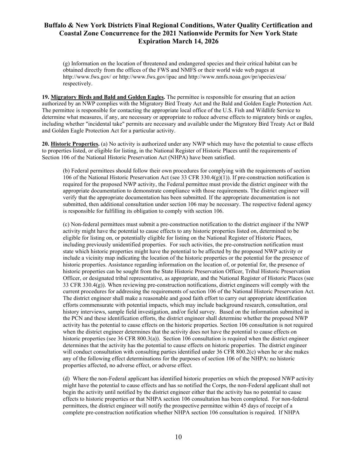(g) Information on the location of threatened and endangered species and their critical habitat can be obtained directly from the offices of the FWS and NMFS or their world wide web pages at http://www.fws.gov/ or http://www.fws.gov/ipac and http://www.nmfs.noaa.gov/pr/species/esa/ respectively.

**19. Migratory Birds and Bald and Golden Eagles.** The permittee is responsible for ensuring that an action authorized by an NWP complies with the Migratory Bird Treaty Act and the Bald and Golden Eagle Protection Act. The permittee is responsible for contacting the appropriate local office of the U.S. Fish and Wildlife Service to determine what measures, if any, are necessary or appropriate to reduce adverse effects to migratory birds or eagles, including whether "incidental take" permits are necessary and available under the Migratory Bird Treaty Act or Bald and Golden Eagle Protection Act for a particular activity.

**20. Historic Properties.** (a) No activity is authorized under any NWP which may have the potential to cause effects to properties listed, or eligible for listing, in the National Register of Historic Places until the requirements of Section 106 of the National Historic Preservation Act (NHPA) have been satisfied.

(b) Federal permittees should follow their own procedures for complying with the requirements of section 106 of the National Historic Preservation Act (see 33 CFR 330.4(g)(1)). If pre-construction notification is required for the proposed NWP activity, the Federal permittee must provide the district engineer with the appropriate documentation to demonstrate compliance with those requirements. The district engineer will verify that the appropriate documentation has been submitted. If the appropriate documentation is not submitted, then additional consultation under section 106 may be necessary. The respective federal agency is responsible for fulfilling its obligation to comply with section 106.

(c) Non-federal permittees must submit a pre-construction notification to the district engineer if the NWP activity might have the potential to cause effects to any historic properties listed on, determined to be eligible for listing on, or potentially eligible for listing on the National Register of Historic Places, including previously unidentified properties. For such activities, the pre-construction notification must state which historic properties might have the potential to be affected by the proposed NWP activity or include a vicinity map indicating the location of the historic properties or the potential for the presence of historic properties. Assistance regarding information on the location of, or potential for, the presence of historic properties can be sought from the State Historic Preservation Officer, Tribal Historic Preservation Officer, or designated tribal representative, as appropriate, and the National Register of Historic Places (see 33 CFR 330.4(g)). When reviewing pre-construction notifications, district engineers will comply with the current procedures for addressing the requirements of section 106 of the National Historic Preservation Act. The district engineer shall make a reasonable and good faith effort to carry out appropriate identification efforts commensurate with potential impacts, which may include background research, consultation, oral history interviews, sample field investigation, and/or field survey. Based on the information submitted in the PCN and these identification efforts, the district engineer shall determine whether the proposed NWP activity has the potential to cause effects on the historic properties. Section 106 consultation is not required when the district engineer determines that the activity does not have the potential to cause effects on historic properties (see 36 CFR 800.3(a)). Section 106 consultation is required when the district engineer determines that the activity has the potential to cause effects on historic properties. The district engineer will conduct consultation with consulting parties identified under 36 CFR 800.2(c) when he or she makes any of the following effect determinations for the purposes of section 106 of the NHPA: no historic properties affected, no adverse effect, or adverse effect.

(d) Where the non-Federal applicant has identified historic properties on which the proposed NWP activity might have the potential to cause effects and has so notified the Corps, the non-Federal applicant shall not begin the activity until notified by the district engineer either that the activity has no potential to cause effects to historic properties or that NHPA section 106 consultation has been completed. For non-federal permittees, the district engineer will notify the prospective permittee within 45 days of receipt of a complete pre-construction notification whether NHPA section 106 consultation is required. If NHPA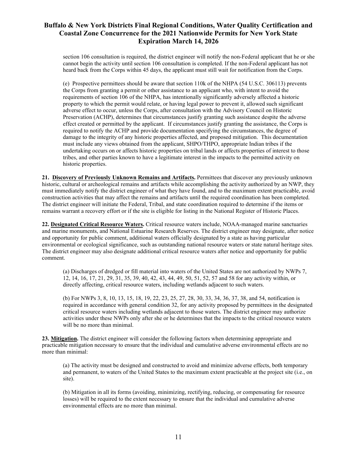section 106 consultation is required, the district engineer will notify the non-Federal applicant that he or she cannot begin the activity until section 106 consultation is completed. If the non-Federal applicant has not heard back from the Corps within 45 days, the applicant must still wait for notification from the Corps.

(e) Prospective permittees should be aware that section 110k of the NHPA (54 U.S.C. 306113) prevents the Corps from granting a permit or other assistance to an applicant who, with intent to avoid the requirements of section 106 of the NHPA, has intentionally significantly adversely affected a historic property to which the permit would relate, or having legal power to prevent it, allowed such significant adverse effect to occur, unless the Corps, after consultation with the Advisory Council on Historic Preservation (ACHP), determines that circumstances justify granting such assistance despite the adverse effect created or permitted by the applicant. If circumstances justify granting the assistance, the Corps is required to notify the ACHP and provide documentation specifying the circumstances, the degree of damage to the integrity of any historic properties affected, and proposed mitigation. This documentation must include any views obtained from the applicant, SHPO/THPO, appropriate Indian tribes if the undertaking occurs on or affects historic properties on tribal lands or affects properties of interest to those tribes, and other parties known to have a legitimate interest in the impacts to the permitted activity on historic properties.

**21. Discovery of Previously Unknown Remains and Artifacts.** Permittees that discover any previously unknown historic, cultural or archeological remains and artifacts while accomplishing the activity authorized by an NWP, they must immediately notify the district engineer of what they have found, and to the maximum extent practicable, avoid construction activities that may affect the remains and artifacts until the required coordination has been completed. The district engineer will initiate the Federal, Tribal, and state coordination required to determine if the items or remains warrant a recovery effort or if the site is eligible for listing in the National Register of Historic Places.

**22. Designated Critical Resource Waters.** Critical resource waters include, NOAA-managed marine sanctuaries and marine monuments, and National Estuarine Research Reserves. The district engineer may designate, after notice and opportunity for public comment, additional waters officially designated by a state as having particular environmental or ecological significance, such as outstanding national resource waters or state natural heritage sites. The district engineer may also designate additional critical resource waters after notice and opportunity for public comment.

(a) Discharges of dredged or fill material into waters of the United States are not authorized by NWPs 7, 12, 14, 16, 17, 21, 29, 31, 35, 39, 40, 42, 43, 44, 49, 50, 51, 52, 57 and 58 for any activity within, or directly affecting, critical resource waters, including wetlands adjacent to such waters.

(b) For NWPs 3, 8, 10, 13, 15, 18, 19, 22, 23, 25, 27, 28, 30, 33, 34, 36, 37, 38, and 54, notification is required in accordance with general condition 32, for any activity proposed by permittees in the designated critical resource waters including wetlands adjacent to those waters. The district engineer may authorize activities under these NWPs only after she or he determines that the impacts to the critical resource waters will be no more than minimal.

**23. Mitigation.** The district engineer will consider the following factors when determining appropriate and practicable mitigation necessary to ensure that the individual and cumulative adverse environmental effects are no more than minimal:

(a) The activity must be designed and constructed to avoid and minimize adverse effects, both temporary and permanent, to waters of the United States to the maximum extent practicable at the project site (i.e., on site).

(b) Mitigation in all its forms (avoiding, minimizing, rectifying, reducing, or compensating for resource losses) will be required to the extent necessary to ensure that the individual and cumulative adverse environmental effects are no more than minimal.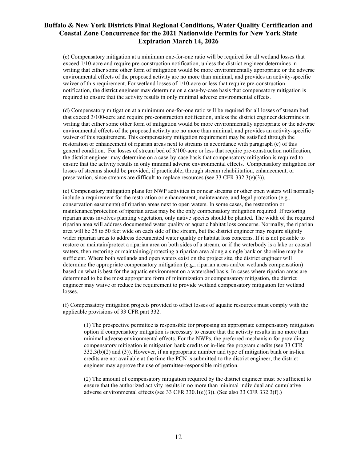(c) Compensatory mitigation at a minimum one-for-one ratio will be required for all wetland losses that exceed 1/10-acre and require pre-construction notification, unless the district engineer determines in writing that either some other form of mitigation would be more environmentally appropriate or the adverse environmental effects of the proposed activity are no more than minimal, and provides an activity-specific waiver of this requirement. For wetland losses of 1/10-acre or less that require pre-construction notification, the district engineer may determine on a case-by-case basis that compensatory mitigation is required to ensure that the activity results in only minimal adverse environmental effects.

(d) Compensatory mitigation at a minimum one-for-one ratio will be required for all losses of stream bed that exceed 3/100-acre and require pre-construction notification, unless the district engineer determines in writing that either some other form of mitigation would be more environmentally appropriate or the adverse environmental effects of the proposed activity are no more than minimal, and provides an activity-specific waiver of this requirement. This compensatory mitigation requirement may be satisfied through the restoration or enhancement of riparian areas next to streams in accordance with paragraph (e) of this general condition. For losses of stream bed of 3/100-acre or less that require pre-construction notification, the district engineer may determine on a case-by-case basis that compensatory mitigation is required to ensure that the activity results in only minimal adverse environmental effects. Compensatory mitigation for losses of streams should be provided, if practicable, through stream rehabilitation, enhancement, or preservation, since streams are difficult-to-replace resources (see 33 CFR 332.3(e)(3)).

(e) Compensatory mitigation plans for NWP activities in or near streams or other open waters will normally include a requirement for the restoration or enhancement, maintenance, and legal protection (e.g., conservation easements) of riparian areas next to open waters. In some cases, the restoration or maintenance/protection of riparian areas may be the only compensatory mitigation required. If restoring riparian areas involves planting vegetation, only native species should be planted. The width of the required riparian area will address documented water quality or aquatic habitat loss concerns. Normally, the riparian area will be 25 to 50 feet wide on each side of the stream, but the district engineer may require slightly wider riparian areas to address documented water quality or habitat loss concerns. If it is not possible to restore or maintain/protect a riparian area on both sides of a stream, or if the waterbody is a lake or coastal waters, then restoring or maintaining/protecting a riparian area along a single bank or shoreline may be sufficient. Where both wetlands and open waters exist on the project site, the district engineer will determine the appropriate compensatory mitigation (e.g., riparian areas and/or wetlands compensation) based on what is best for the aquatic environment on a watershed basis. In cases where riparian areas are determined to be the most appropriate form of minimization or compensatory mitigation, the district engineer may waive or reduce the requirement to provide wetland compensatory mitigation for wetland losses.

(f) Compensatory mitigation projects provided to offset losses of aquatic resources must comply with the applicable provisions of 33 CFR part 332.

(1) The prospective permittee is responsible for proposing an appropriate compensatory mitigation option if compensatory mitigation is necessary to ensure that the activity results in no more than minimal adverse environmental effects. For the NWPs, the preferred mechanism for providing compensatory mitigation is mitigation bank credits or in-lieu fee program credits (see 33 CFR  $332.3(b)(2)$  and  $(3)$ ). However, if an appropriate number and type of mitigation bank or in-lieu credits are not available at the time the PCN is submitted to the district engineer, the district engineer may approve the use of permittee-responsible mitigation.

(2) The amount of compensatory mitigation required by the district engineer must be sufficient to ensure that the authorized activity results in no more than minimal individual and cumulative adverse environmental effects (see 33 CFR 330.1(e)(3)). (See also 33 CFR 332.3(f).)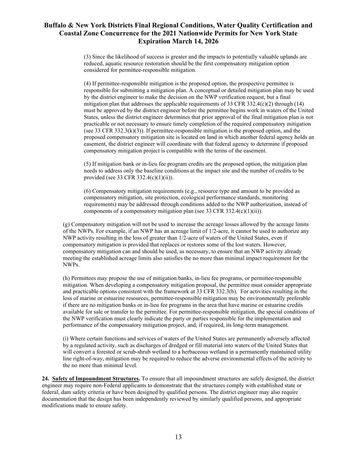(3) Since the likelihood of success is greater and the impacts to potentially valuable uplands are reduced, aquatic resource restoration should be the first compensatory mitigation option considered for permittee-responsible mitigation.

(4) If permittee-responsible mitigation is the proposed option, the prospective permittee is responsible for submitting a mitigation plan. A conceptual or detailed mitigation plan may be used by the district engineer to make the decision on the NWP verification request, but a final mitigation plan that addresses the applicable requirements of 33 CFR 332.4(c)(2) through  $(14)$ must be approved by the district engineer before the permittee begins work in waters of the United States, unless the district engineer determines that prior approval of the final mitigation plan is not practicable or not necessary to ensure timely completion of the required compensatory mitigation (see 33 CFR 332.3(k)(3)). If permittee-responsible mitigation is the proposed option, and the proposed compensatory mitigation site is located on land in which another federal agency holds an easement, the district engineer will coordinate with that federal agency to determine if proposed compensatory mitigation project is compatible with the terms of the easement.

(5) If mitigation bank or in-lieu fee program credits are the proposed option, the mitigation plan needs to address only the baseline conditions at the impact site and the number of credits to be provided (see 33 CFR 332.4(c)(1)(ii)).

(6) Compensatory mitigation requirements (e.g., resource type and amount to be provided as compensatory mitigation, site protection, ecological performance standards, monitoring requirements) may be addressed through conditions added to the NWP authorization, instead of components of a compensatory mitigation plan (see 33 CFR 332.4(c)(1)(ii)).

(g) Compensatory mitigation will not be used to increase the acreage losses allowed by the acreage limits of the NWPs. For example, if an NWP has an acreage limit of 1/2-acre, it cannot be used to authorize any NWP activity resulting in the loss of greater than 1/2-acre of waters of the United States, even if compensatory mitigation is provided that replaces or restores some of the lost waters. However, compensatory mitigation can and should be used, as necessary, to ensure that an NWP activity already meeting the established acreage limits also satisfies the no more than minimal impact requirement for the NWPs.

(h) Permittees may propose the use of mitigation banks, in-lieu fee programs, or permittee-responsible mitigation. When developing a compensatory mitigation proposal, the permittee must consider appropriate and practicable options consistent with the framework at 33 CFR 332.3(b). For activities resulting in the loss of marine or estuarine resources, permittee-responsible mitigation may be environmentally preferable if there are no mitigation banks or in-lieu fee programs in the area that have marine or estuarine credits available for sale or transfer to the permittee. For permittee-responsible mitigation, the special conditions of the NWP verification must clearly indicate the party or parties responsible for the implementation and performance of the compensatory mitigation project, and, if required, its long-term management.

(i) Where certain functions and services of waters of the United States are permanently adversely affected by a regulated activity, such as discharges of dredged or fill material into waters of the United States that will convert a forested or scrub-shrub wetland to a herbaceous wetland in a permanently maintained utility line right-of-way, mitigation may be required to reduce the adverse environmental effects of the activity to the no more than minimal level.

**24. Safety of Impoundment Structures.** To ensure that all impoundment structures are safely designed, the district engineer may require non-Federal applicants to demonstrate that the structures comply with established state or federal, dam safety criteria or have been designed by qualified persons. The district engineer may also require documentation that the design has been independently reviewed by similarly qualified persons, and appropriate modifications made to ensure safety.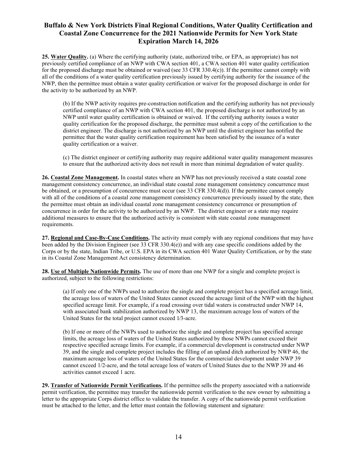**25. Water Quality.** (a) Where the certifying authority (state, authorized tribe, or EPA, as appropriate) has not previously certified compliance of an NWP with CWA section 401, a CWA section 401 water quality certification for the proposed discharge must be obtained or waived (see 33 CFR 330.4(c)). If the permittee cannot comply with all of the conditions of a water quality certification previously issued by certifying authority for the issuance of the NWP, then the permittee must obtain a water quality certification or waiver for the proposed discharge in order for the activity to be authorized by an NWP.

(b) If the NWP activity requires pre-construction notification and the certifying authority has not previously certified compliance of an NWP with CWA section 401, the proposed discharge is not authorized by an NWP until water quality certification is obtained or waived. If the certifying authority issues a water quality certification for the proposed discharge, the permittee must submit a copy of the certification to the district engineer. The discharge is not authorized by an NWP until the district engineer has notified the permittee that the water quality certification requirement has been satisfied by the issuance of a water quality certification or a waiver.

(c) The district engineer or certifying authority may require additional water quality management measures to ensure that the authorized activity does not result in more than minimal degradation of water quality.

**26. Coastal Zone Management.** In coastal states where an NWP has not previously received a state coastal zone management consistency concurrence, an individual state coastal zone management consistency concurrence must be obtained, or a presumption of concurrence must occur (see 33 CFR 330.4(d)). If the permittee cannot comply with all of the conditions of a coastal zone management consistency concurrence previously issued by the state, then the permittee must obtain an individual coastal zone management consistency concurrence or presumption of concurrence in order for the activity to be authorized by an NWP. The district engineer or a state may require additional measures to ensure that the authorized activity is consistent with state coastal zone management requirements.

**27. Regional and Case-By-Case Conditions.** The activity must comply with any regional conditions that may have been added by the Division Engineer (see 33 CFR 330.4(e)) and with any case specific conditions added by the Corps or by the state, Indian Tribe, or U.S. EPA in its CWA section 401 Water Quality Certification, or by the state in its Coastal Zone Management Act consistency determination.

**28. Use of Multiple Nationwide Permits.** The use of more than one NWP for a single and complete project is authorized, subject to the following restrictions:

(a) If only one of the NWPs used to authorize the single and complete project has a specified acreage limit, the acreage loss of waters of the United States cannot exceed the acreage limit of the NWP with the highest specified acreage limit. For example, if a road crossing over tidal waters is constructed under NWP 14, with associated bank stabilization authorized by NWP 13, the maximum acreage loss of waters of the United States for the total project cannot exceed 1⁄3-acre.

(b) If one or more of the NWPs used to authorize the single and complete project has specified acreage limits, the acreage loss of waters of the United States authorized by those NWPs cannot exceed their respective specified acreage limits. For example, if a commercial development is constructed under NWP 39, and the single and complete project includes the filling of an upland ditch authorized by NWP 46, the maximum acreage loss of waters of the United States for the commercial development under NWP 39 cannot exceed 1/2-acre, and the total acreage loss of waters of United States due to the NWP 39 and 46 activities cannot exceed 1 acre.

**29. Transfer of Nationwide Permit Verifications.** If the permittee sells the property associated with a nationwide permit verification, the permittee may transfer the nationwide permit verification to the new owner by submitting a letter to the appropriate Corps district office to validate the transfer. A copy of the nationwide permit verification must be attached to the letter, and the letter must contain the following statement and signature: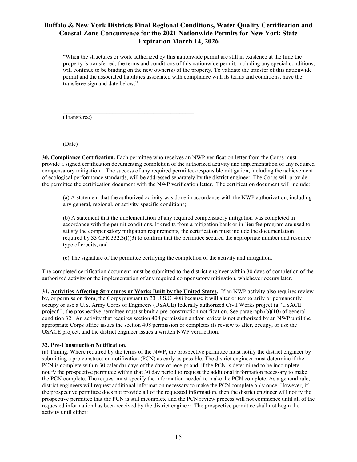"When the structures or work authorized by this nationwide permit are still in existence at the time the property is transferred, the terms and conditions of this nationwide permit, including any special conditions, will continue to be binding on the new owner(s) of the property. To validate the transfer of this nationwide permit and the associated liabilities associated with compliance with its terms and conditions, have the transferee sign and date below."

\_\_\_\_\_\_\_\_\_\_\_\_\_\_\_\_\_\_\_\_\_\_\_\_\_\_\_\_\_\_\_\_\_\_\_\_\_\_\_\_\_\_\_\_\_ (Transferee)

\_\_\_\_\_\_\_\_\_\_\_\_\_\_\_\_\_\_\_\_\_\_\_\_\_\_\_\_\_\_\_\_\_\_\_\_\_\_\_\_\_\_\_\_\_

(Date)

**30. Compliance Certification.** Each permittee who receives an NWP verification letter from the Corps must provide a signed certification documenting completion of the authorized activity and implementation of any required compensatory mitigation. The success of any required permittee-responsible mitigation, including the achievement of ecological performance standards, will be addressed separately by the district engineer. The Corps will provide the permittee the certification document with the NWP verification letter. The certification document will include:

(a) A statement that the authorized activity was done in accordance with the NWP authorization, including any general, regional, or activity-specific conditions;

(b) A statement that the implementation of any required compensatory mitigation was completed in accordance with the permit conditions. If credits from a mitigation bank or in-lieu fee program are used to satisfy the compensatory mitigation requirements, the certification must include the documentation required by 33 CFR 332.3(l)(3) to confirm that the permittee secured the appropriate number and resource type of credits; and

(c) The signature of the permittee certifying the completion of the activity and mitigation.

The completed certification document must be submitted to the district engineer within 30 days of completion of the authorized activity or the implementation of any required compensatory mitigation, whichever occurs later.

**31. Activities Affecting Structures or Works Built by the United States.** If an NWP activity also requires review by, or permission from, the Corps pursuant to 33 U.S.C. 408 because it will alter or temporarily or permanently occupy or use a U.S. Army Corps of Engineers (USACE) federally authorized Civil Works project (a "USACE project"), the prospective permittee must submit a pre-construction notification. See paragraph (b)(10) of general condition 32. An activity that requires section 408 permission and/or review is not authorized by an NWP until the appropriate Corps office issues the section 408 permission or completes its review to alter, occupy, or use the USACE project, and the district engineer issues a written NWP verification.

#### **32. Pre-Construction Notification.**

(a) Timing. Where required by the terms of the NWP, the prospective permittee must notify the district engineer by submitting a pre-construction notification (PCN) as early as possible. The district engineer must determine if the PCN is complete within 30 calendar days of the date of receipt and, if the PCN is determined to be incomplete, notify the prospective permittee within that 30 day period to request the additional information necessary to make the PCN complete. The request must specify the information needed to make the PCN complete. As a general rule, district engineers will request additional information necessary to make the PCN complete only once. However, if the prospective permittee does not provide all of the requested information, then the district engineer will notify the prospective permittee that the PCN is still incomplete and the PCN review process will not commence until all of the requested information has been received by the district engineer. The prospective permittee shall not begin the activity until either: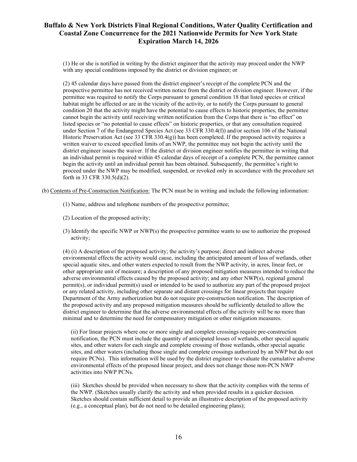(1) He or she is notified in writing by the district engineer that the activity may proceed under the NWP with any special conditions imposed by the district or division engineer; or

(2) 45 calendar days have passed from the district engineer's receipt of the complete PCN and the prospective permittee has not received written notice from the district or division engineer. However, if the permittee was required to notify the Corps pursuant to general condition 18 that listed species or critical habitat might be affected or are in the vicinity of the activity, or to notify the Corps pursuant to general condition 20 that the activity might have the potential to cause effects to historic properties, the permittee cannot begin the activity until receiving written notification from the Corps that there is "no effect" on listed species or "no potential to cause effects" on historic properties, or that any consultation required under Section 7 of the Endangered Species Act (see 33 CFR 330.4(f)) and/or section 106 of the National Historic Preservation Act (see 33 CFR 330.4(g)) has been completed. If the proposed activity requires a written waiver to exceed specified limits of an NWP, the permittee may not begin the activity until the district engineer issues the waiver. If the district or division engineer notifies the permittee in writing that an individual permit is required within 45 calendar days of receipt of a complete PCN, the permittee cannot begin the activity until an individual permit has been obtained. Subsequently, the permittee's right to proceed under the NWP may be modified, suspended, or revoked only in accordance with the procedure set forth in 33 CFR 330.5(d)(2).

(b) Contents of Pre-Construction Notification: The PCN must be in writing and include the following information:

- (1) Name, address and telephone numbers of the prospective permittee;
- (2) Location of the proposed activity;
- (3) Identify the specific NWP or NWP(s) the prospective permittee wants to use to authorize the proposed activity;

(4) (i) A description of the proposed activity; the activity's purpose; direct and indirect adverse environmental effects the activity would cause, including the anticipated amount of loss of wetlands, other special aquatic sites, and other waters expected to result from the NWP activity, in acres, linear feet, or other appropriate unit of measure; a description of any proposed mitigation measures intended to reduce the adverse environmental effects caused by the proposed activity; and any other NWP(s), regional general permit(s), or individual permit(s) used or intended to be used to authorize any part of the proposed project or any related activity, including other separate and distant crossings for linear projects that require Department of the Army authorization but do not require pre-construction notification. The description of the proposed activity and any proposed mitigation measures should be sufficiently detailed to allow the district engineer to determine that the adverse environmental effects of the activity will be no more than minimal and to determine the need for compensatory mitigation or other mitigation measures.

(ii) For linear projects where one or more single and complete crossings require pre-construction notification, the PCN must include the quantity of anticipated losses of wetlands, other special aquatic sites, and other waters for each single and complete crossing of those wetlands, other special aquatic sites, and other waters (including those single and complete crossings authorized by an NWP but do not require PCNs). This information will be used by the district engineer to evaluate the cumulative adverse environmental effects of the proposed linear project, and does not change those non-PCN NWP activities into NWP PCNs.

(iii) Sketches should be provided when necessary to show that the activity complies with the terms of the NWP. (Sketches usually clarify the activity and when provided results in a quicker decision. Sketches should contain sufficient detail to provide an illustrative description of the proposed activity (e.g., a conceptual plan), but do not need to be detailed engineering plans);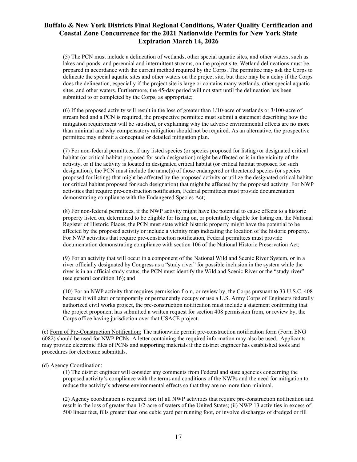(5) The PCN must include a delineation of wetlands, other special aquatic sites, and other waters, such as lakes and ponds, and perennial and intermittent streams, on the project site. Wetland delineations must be prepared in accordance with the current method required by the Corps. The permittee may ask the Corps to delineate the special aquatic sites and other waters on the project site, but there may be a delay if the Corps does the delineation, especially if the project site is large or contains many wetlands, other special aquatic sites, and other waters. Furthermore, the 45-day period will not start until the delineation has been submitted to or completed by the Corps, as appropriate;

(6) If the proposed activity will result in the loss of greater than 1/10-acre of wetlands or 3/100-acre of stream bed and a PCN is required, the prospective permittee must submit a statement describing how the mitigation requirement will be satisfied, or explaining why the adverse environmental effects are no more than minimal and why compensatory mitigation should not be required. As an alternative, the prospective permittee may submit a conceptual or detailed mitigation plan.

(7) For non-federal permittees, if any listed species (or species proposed for listing) or designated critical habitat (or critical habitat proposed for such designation) might be affected or is in the vicinity of the activity, or if the activity is located in designated critical habitat (or critical habitat proposed for such designation), the PCN must include the name(s) of those endangered or threatened species (or species proposed for listing) that might be affected by the proposed activity or utilize the designated critical habitat (or critical habitat proposed for such designation) that might be affected by the proposed activity. For NWP activities that require pre-construction notification, Federal permittees must provide documentation demonstrating compliance with the Endangered Species Act;

(8) For non-federal permittees, if the NWP activity might have the potential to cause effects to a historic property listed on, determined to be eligible for listing on, or potentially eligible for listing on, the National Register of Historic Places, the PCN must state which historic property might have the potential to be affected by the proposed activity or include a vicinity map indicating the location of the historic property. For NWP activities that require pre-construction notification, Federal permittees must provide documentation demonstrating compliance with section 106 of the National Historic Preservation Act;

(9) For an activity that will occur in a component of the National Wild and Scenic River System, or in a river officially designated by Congress as a "study river" for possible inclusion in the system while the river is in an official study status, the PCN must identify the Wild and Scenic River or the "study river" (see general condition 16); and

(10) For an NWP activity that requires permission from, or review by, the Corps pursuant to 33 U.S.C. 408 because it will alter or temporarily or permanently occupy or use a U.S. Army Corps of Engineers federally authorized civil works project, the pre-construction notification must include a statement confirming that the project proponent has submitted a written request for section 408 permission from, or review by, the Corps office having jurisdiction over that USACE project.

(c) Form of Pre-Construction Notification: The nationwide permit pre-construction notification form (Form ENG 6082) should be used for NWP PCNs. A letter containing the required information may also be used. Applicants may provide electronic files of PCNs and supporting materials if the district engineer has established tools and procedures for electronic submittals.

#### (d) Agency Coordination:

(1) The district engineer will consider any comments from Federal and state agencies concerning the proposed activity's compliance with the terms and conditions of the NWPs and the need for mitigation to reduce the activity's adverse environmental effects so that they are no more than minimal.

(2) Agency coordination is required for: (i) all NWP activities that require pre-construction notification and result in the loss of greater than 1/2-acre of waters of the United States; (ii) NWP 13 activities in excess of 500 linear feet, fills greater than one cubic yard per running foot, or involve discharges of dredged or fill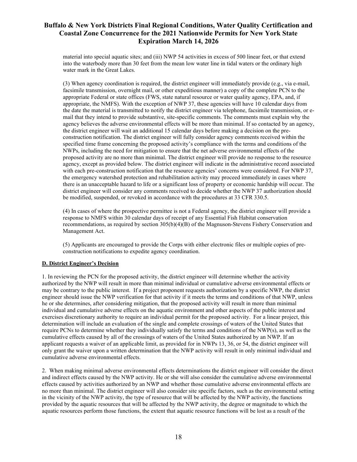material into special aquatic sites; and (iii) NWP 54 activities in excess of 500 linear feet, or that extend into the waterbody more than 30 feet from the mean low water line in tidal waters or the ordinary high water mark in the Great Lakes.

(3) When agency coordination is required, the district engineer will immediately provide (e.g., via e-mail, facsimile transmission, overnight mail, or other expeditious manner) a copy of the complete PCN to the appropriate Federal or state offices (FWS, state natural resource or water quality agency, EPA, and, if appropriate, the NMFS). With the exception of NWP 37, these agencies will have 10 calendar days from the date the material is transmitted to notify the district engineer via telephone, facsimile transmission, or email that they intend to provide substantive, site-specific comments. The comments must explain why the agency believes the adverse environmental effects will be more than minimal. If so contacted by an agency, the district engineer will wait an additional 15 calendar days before making a decision on the preconstruction notification. The district engineer will fully consider agency comments received within the specified time frame concerning the proposed activity's compliance with the terms and conditions of the NWPs, including the need for mitigation to ensure that the net adverse environmental effects of the proposed activity are no more than minimal. The district engineer will provide no response to the resource agency, except as provided below. The district engineer will indicate in the administrative record associated with each pre-construction notification that the resource agencies' concerns were considered. For NWP 37, the emergency watershed protection and rehabilitation activity may proceed immediately in cases where there is an unacceptable hazard to life or a significant loss of property or economic hardship will occur. The district engineer will consider any comments received to decide whether the NWP 37 authorization should be modified, suspended, or revoked in accordance with the procedures at 33 CFR 330.5.

(4) In cases of where the prospective permittee is not a Federal agency, the district engineer will provide a response to NMFS within 30 calendar days of receipt of any Essential Fish Habitat conservation recommendations, as required by section 305(b)(4)(B) of the Magnuson-Stevens Fishery Conservation and Management Act.

(5) Applicants are encouraged to provide the Corps with either electronic files or multiple copies of preconstruction notifications to expedite agency coordination.

#### **D. District Engineer's Decision**

1. In reviewing the PCN for the proposed activity, the district engineer will determine whether the activity authorized by the NWP will result in more than minimal individual or cumulative adverse environmental effects or may be contrary to the public interest. If a project proponent requests authorization by a specific NWP, the district engineer should issue the NWP verification for that activity if it meets the terms and conditions of that NWP, unless he or she determines, after considering mitigation, that the proposed activity will result in more than minimal individual and cumulative adverse effects on the aquatic environment and other aspects of the public interest and exercises discretionary authority to require an individual permit for the proposed activity. For a linear project, this determination will include an evaluation of the single and complete crossings of waters of the United States that require PCNs to determine whether they individually satisfy the terms and conditions of the NWP(s), as well as the cumulative effects caused by all of the crossings of waters of the United States authorized by an NWP. If an applicant requests a waiver of an applicable limit, as provided for in NWPs 13, 36, or 54, the district engineer will only grant the waiver upon a written determination that the NWP activity will result in only minimal individual and cumulative adverse environmental effects.

2. When making minimal adverse environmental effects determinations the district engineer will consider the direct and indirect effects caused by the NWP activity. He or she will also consider the cumulative adverse environmental effects caused by activities authorized by an NWP and whether those cumulative adverse environmental effects are no more than minimal. The district engineer will also consider site specific factors, such as the environmental setting in the vicinity of the NWP activity, the type of resource that will be affected by the NWP activity, the functions provided by the aquatic resources that will be affected by the NWP activity, the degree or magnitude to which the aquatic resources perform those functions, the extent that aquatic resource functions will be lost as a result of the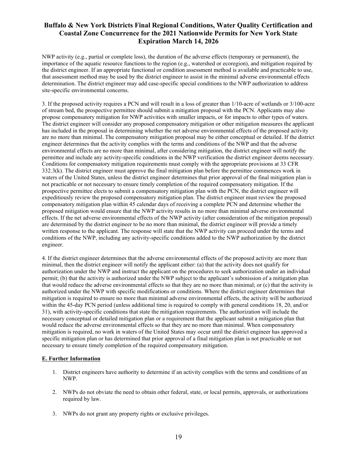NWP activity (e.g., partial or complete loss), the duration of the adverse effects (temporary or permanent), the importance of the aquatic resource functions to the region (e.g., watershed or ecoregion), and mitigation required by the district engineer. If an appropriate functional or condition assessment method is available and practicable to use, that assessment method may be used by the district engineer to assist in the minimal adverse environmental effects determination. The district engineer may add case-specific special conditions to the NWP authorization to address site-specific environmental concerns.

3. If the proposed activity requires a PCN and will result in a loss of greater than 1/10-acre of wetlands or 3/100-acre of stream bed, the prospective permittee should submit a mitigation proposal with the PCN. Applicants may also propose compensatory mitigation for NWP activities with smaller impacts, or for impacts to other types of waters. The district engineer will consider any proposed compensatory mitigation or other mitigation measures the applicant has included in the proposal in determining whether the net adverse environmental effects of the proposed activity are no more than minimal. The compensatory mitigation proposal may be either conceptual or detailed. If the district engineer determines that the activity complies with the terms and conditions of the NWP and that the adverse environmental effects are no more than minimal, after considering mitigation, the district engineer will notify the permittee and include any activity-specific conditions in the NWP verification the district engineer deems necessary. Conditions for compensatory mitigation requirements must comply with the appropriate provisions at 33 CFR 332.3(k). The district engineer must approve the final mitigation plan before the permittee commences work in waters of the United States, unless the district engineer determines that prior approval of the final mitigation plan is not practicable or not necessary to ensure timely completion of the required compensatory mitigation. If the prospective permittee elects to submit a compensatory mitigation plan with the PCN, the district engineer will expeditiously review the proposed compensatory mitigation plan. The district engineer must review the proposed compensatory mitigation plan within 45 calendar days of receiving a complete PCN and determine whether the proposed mitigation would ensure that the NWP activity results in no more than minimal adverse environmental effects. If the net adverse environmental effects of the NWP activity (after consideration of the mitigation proposal) are determined by the district engineer to be no more than minimal, the district engineer will provide a timely written response to the applicant. The response will state that the NWP activity can proceed under the terms and conditions of the NWP, including any activity-specific conditions added to the NWP authorization by the district engineer.

4. If the district engineer determines that the adverse environmental effects of the proposed activity are more than minimal, then the district engineer will notify the applicant either: (a) that the activity does not qualify for authorization under the NWP and instruct the applicant on the procedures to seek authorization under an individual permit; (b) that the activity is authorized under the NWP subject to the applicant's submission of a mitigation plan that would reduce the adverse environmental effects so that they are no more than minimal; or (c) that the activity is authorized under the NWP with specific modifications or conditions. Where the district engineer determines that mitigation is required to ensure no more than minimal adverse environmental effects, the activity will be authorized within the 45-day PCN period (unless additional time is required to comply with general conditions 18, 20, and/or 31), with activity-specific conditions that state the mitigation requirements. The authorization will include the necessary conceptual or detailed mitigation plan or a requirement that the applicant submit a mitigation plan that would reduce the adverse environmental effects so that they are no more than minimal. When compensatory mitigation is required, no work in waters of the United States may occur until the district engineer has approved a specific mitigation plan or has determined that prior approval of a final mitigation plan is not practicable or not necessary to ensure timely completion of the required compensatory mitigation.

#### **E. Further Information**

- 1. District engineers have authority to determine if an activity complies with the terms and conditions of an NWP.
- 2. NWPs do not obviate the need to obtain other federal, state, or local permits, approvals, or authorizations required by law.
- 3. NWPs do not grant any property rights or exclusive privileges.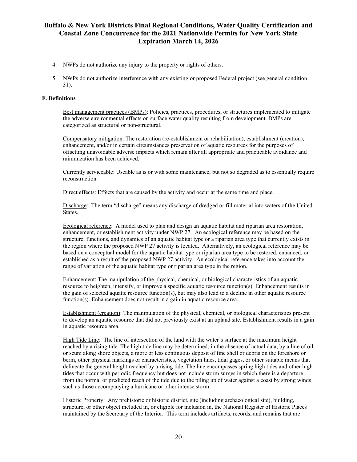- 4. NWPs do not authorize any injury to the property or rights of others.
- 5. NWPs do not authorize interference with any existing or proposed Federal project (see general condition 31).

#### **F. Definitions**

Best management practices (BMPs): Policies, practices, procedures, or structures implemented to mitigate the adverse environmental effects on surface water quality resulting from development. BMPs are categorized as structural or non-structural.

Compensatory mitigation: The restoration (re-establishment or rehabilitation), establishment (creation), enhancement, and/or in certain circumstances preservation of aquatic resources for the purposes of offsetting unavoidable adverse impacts which remain after all appropriate and practicable avoidance and minimization has been achieved.

Currently serviceable: Useable as is or with some maintenance, but not so degraded as to essentially require reconstruction.

Direct effects: Effects that are caused by the activity and occur at the same time and place.

Discharge: The term "discharge" means any discharge of dredged or fill material into waters of the United States.

Ecological reference: A model used to plan and design an aquatic habitat and riparian area restoration, enhancement, or establishment activity under NWP 27. An ecological reference may be based on the structure, functions, and dynamics of an aquatic habitat type or a riparian area type that currently exists in the region where the proposed NWP 27 activity is located. Alternatively, an ecological reference may be based on a conceptual model for the aquatic habitat type or riparian area type to be restored, enhanced, or established as a result of the proposed NWP 27 activity. An ecological reference takes into account the range of variation of the aquatic habitat type or riparian area type in the region.

Enhancement: The manipulation of the physical, chemical, or biological characteristics of an aquatic resource to heighten, intensify, or improve a specific aquatic resource function(s). Enhancement results in the gain of selected aquatic resource function(s), but may also lead to a decline in other aquatic resource function(s). Enhancement does not result in a gain in aquatic resource area.

Establishment (creation): The manipulation of the physical, chemical, or biological characteristics present to develop an aquatic resource that did not previously exist at an upland site. Establishment results in a gain in aquatic resource area.

High Tide Line: The line of intersection of the land with the water's surface at the maximum height reached by a rising tide. The high tide line may be determined, in the absence of actual data, by a line of oil or scum along shore objects, a more or less continuous deposit of fine shell or debris on the foreshore or berm, other physical markings or characteristics, vegetation lines, tidal gages, or other suitable means that delineate the general height reached by a rising tide. The line encompasses spring high tides and other high tides that occur with periodic frequency but does not include storm surges in which there is a departure from the normal or predicted reach of the tide due to the piling up of water against a coast by strong winds such as those accompanying a hurricane or other intense storm.

Historic Property: Any prehistoric or historic district, site (including archaeological site), building, structure, or other object included in, or eligible for inclusion in, the National Register of Historic Places maintained by the Secretary of the Interior. This term includes artifacts, records, and remains that are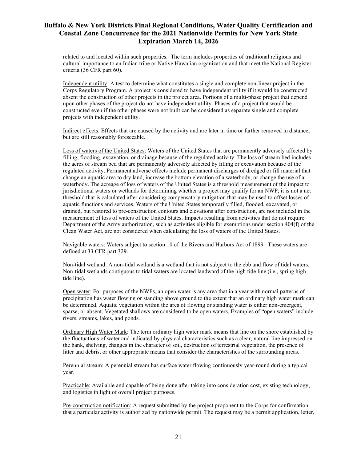related to and located within such properties. The term includes properties of traditional religious and cultural importance to an Indian tribe or Native Hawaiian organization and that meet the National Register criteria (36 CFR part 60).

Independent utility: A test to determine what constitutes a single and complete non-linear project in the Corps Regulatory Program. A project is considered to have independent utility if it would be constructed absent the construction of other projects in the project area. Portions of a multi-phase project that depend upon other phases of the project do not have independent utility. Phases of a project that would be constructed even if the other phases were not built can be considered as separate single and complete projects with independent utility.

Indirect effects: Effects that are caused by the activity and are later in time or farther removed in distance, but are still reasonably foreseeable.

Loss of waters of the United States: Waters of the United States that are permanently adversely affected by filling, flooding, excavation, or drainage because of the regulated activity. The loss of stream bed includes the acres of stream bed that are permanently adversely affected by filling or excavation because of the regulated activity. Permanent adverse effects include permanent discharges of dredged or fill material that change an aquatic area to dry land, increase the bottom elevation of a waterbody, or change the use of a waterbody. The acreage of loss of waters of the United States is a threshold measurement of the impact to jurisdictional waters or wetlands for determining whether a project may qualify for an NWP; it is not a net threshold that is calculated after considering compensatory mitigation that may be used to offset losses of aquatic functions and services. Waters of the United States temporarily filled, flooded, excavated, or drained, but restored to pre-construction contours and elevations after construction, are not included in the measurement of loss of waters of the United States. Impacts resulting from activities that do not require Department of the Army authorization, such as activities eligible for exemptions under section 404(f) of the Clean Water Act, are not considered when calculating the loss of waters of the United States.

Navigable waters: Waters subject to section 10 of the Rivers and Harbors Act of 1899. These waters are defined at 33 CFR part 329.

Non-tidal wetland: A non-tidal wetland is a wetland that is not subject to the ebb and flow of tidal waters. Non-tidal wetlands contiguous to tidal waters are located landward of the high tide line (i.e., spring high tide line).

Open water: For purposes of the NWPs, an open water is any area that in a year with normal patterns of precipitation has water flowing or standing above ground to the extent that an ordinary high water mark can be determined. Aquatic vegetation within the area of flowing or standing water is either non-emergent, sparse, or absent. Vegetated shallows are considered to be open waters. Examples of "open waters" include rivers, streams, lakes, and ponds.

Ordinary High Water Mark: The term ordinary high water mark means that line on the shore established by the fluctuations of water and indicated by physical characteristics such as a clear, natural line impressed on the bank, shelving, changes in the character of soil, destruction of terrestrial vegetation, the presence of litter and debris, or other appropriate means that consider the characteristics of the surrounding areas.

Perennial stream: A perennial stream has surface water flowing continuously year-round during a typical year.

Practicable: Available and capable of being done after taking into consideration cost, existing technology, and logistics in light of overall project purposes.

Pre-construction notification: A request submitted by the project proponent to the Corps for confirmation that a particular activity is authorized by nationwide permit. The request may be a permit application, letter,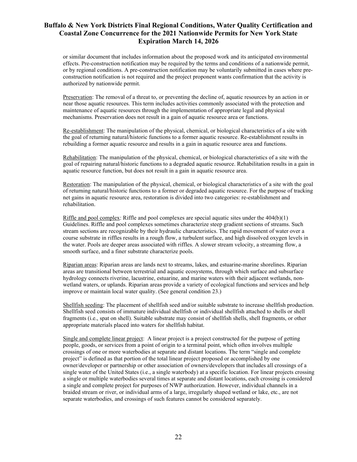or similar document that includes information about the proposed work and its anticipated environmental effects. Pre-construction notification may be required by the terms and conditions of a nationwide permit, or by regional conditions. A pre-construction notification may be voluntarily submitted in cases where preconstruction notification is not required and the project proponent wants confirmation that the activity is authorized by nationwide permit.

Preservation: The removal of a threat to, or preventing the decline of, aquatic resources by an action in or near those aquatic resources. This term includes activities commonly associated with the protection and maintenance of aquatic resources through the implementation of appropriate legal and physical mechanisms. Preservation does not result in a gain of aquatic resource area or functions.

Re-establishment: The manipulation of the physical, chemical, or biological characteristics of a site with the goal of returning natural/historic functions to a former aquatic resource. Re-establishment results in rebuilding a former aquatic resource and results in a gain in aquatic resource area and functions.

Rehabilitation: The manipulation of the physical, chemical, or biological characteristics of a site with the goal of repairing natural/historic functions to a degraded aquatic resource. Rehabilitation results in a gain in aquatic resource function, but does not result in a gain in aquatic resource area.

Restoration: The manipulation of the physical, chemical, or biological characteristics of a site with the goal of returning natural/historic functions to a former or degraded aquatic resource. For the purpose of tracking net gains in aquatic resource area, restoration is divided into two categories: re-establishment and rehabilitation.

Riffle and pool complex: Riffle and pool complexes are special aquatic sites under the  $404(b)(1)$ Guidelines. Riffle and pool complexes sometimes characterize steep gradient sections of streams. Such stream sections are recognizable by their hydraulic characteristics. The rapid movement of water over a course substrate in riffles results in a rough flow, a turbulent surface, and high dissolved oxygen levels in the water. Pools are deeper areas associated with riffles. A slower stream velocity, a streaming flow, a smooth surface, and a finer substrate characterize pools.

Riparian areas: Riparian areas are lands next to streams, lakes, and estuarine-marine shorelines. Riparian areas are transitional between terrestrial and aquatic ecosystems, through which surface and subsurface hydrology connects riverine, lacustrine, estuarine, and marine waters with their adjacent wetlands, nonwetland waters, or uplands. Riparian areas provide a variety of ecological functions and services and help improve or maintain local water quality. (See general condition 23.)

Shellfish seeding: The placement of shellfish seed and/or suitable substrate to increase shellfish production. Shellfish seed consists of immature individual shellfish or individual shellfish attached to shells or shell fragments (i.e., spat on shell). Suitable substrate may consist of shellfish shells, shell fragments, or other appropriate materials placed into waters for shellfish habitat.

Single and complete linear project: A linear project is a project constructed for the purpose of getting people, goods, or services from a point of origin to a terminal point, which often involves multiple crossings of one or more waterbodies at separate and distant locations. The term "single and complete project" is defined as that portion of the total linear project proposed or accomplished by one owner/developer or partnership or other association of owners/developers that includes all crossings of a single water of the United States (i.e., a single waterbody) at a specific location. For linear projects crossing a single or multiple waterbodies several times at separate and distant locations, each crossing is considered a single and complete project for purposes of NWP authorization. However, individual channels in a braided stream or river, or individual arms of a large, irregularly shaped wetland or lake, etc., are not separate waterbodies, and crossings of such features cannot be considered separately.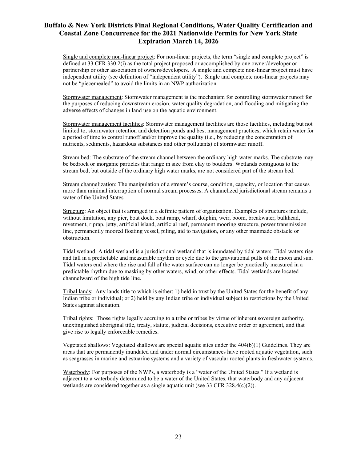Single and complete non-linear project: For non-linear projects, the term "single and complete project" is defined at 33 CFR 330.2(i) as the total project proposed or accomplished by one owner/developer or partnership or other association of owners/developers. A single and complete non-linear project must have independent utility (see definition of "independent utility"). Single and complete non-linear projects may not be "piecemealed" to avoid the limits in an NWP authorization.

Stormwater management: Stormwater management is the mechanism for controlling stormwater runoff for the purposes of reducing downstream erosion, water quality degradation, and flooding and mitigating the adverse effects of changes in land use on the aquatic environment.

Stormwater management facilities: Stormwater management facilities are those facilities, including but not limited to, stormwater retention and detention ponds and best management practices, which retain water for a period of time to control runoff and/or improve the quality (i.e., by reducing the concentration of nutrients, sediments, hazardous substances and other pollutants) of stormwater runoff.

Stream bed: The substrate of the stream channel between the ordinary high water marks. The substrate may be bedrock or inorganic particles that range in size from clay to boulders. Wetlands contiguous to the stream bed, but outside of the ordinary high water marks, are not considered part of the stream bed.

Stream channelization: The manipulation of a stream's course, condition, capacity, or location that causes more than minimal interruption of normal stream processes. A channelized jurisdictional stream remains a water of the United States.

Structure: An object that is arranged in a definite pattern of organization. Examples of structures include, without limitation, any pier, boat dock, boat ramp, wharf, dolphin, weir, boom, breakwater, bulkhead, revetment, riprap, jetty, artificial island, artificial reef, permanent mooring structure, power transmission line, permanently moored floating vessel, piling, aid to navigation, or any other manmade obstacle or obstruction.

Tidal wetland: A tidal wetland is a jurisdictional wetland that is inundated by tidal waters. Tidal waters rise and fall in a predictable and measurable rhythm or cycle due to the gravitational pulls of the moon and sun. Tidal waters end where the rise and fall of the water surface can no longer be practically measured in a predictable rhythm due to masking by other waters, wind, or other effects. Tidal wetlands are located channelward of the high tide line.

Tribal lands: Any lands title to which is either: 1) held in trust by the United States for the benefit of any Indian tribe or individual; or 2) held by any Indian tribe or individual subject to restrictions by the United States against alienation.

Tribal rights: Those rights legally accruing to a tribe or tribes by virtue of inherent sovereign authority, unextinguished aboriginal title, treaty, statute, judicial decisions, executive order or agreement, and that give rise to legally enforceable remedies.

Vegetated shallows: Vegetated shallows are special aquatic sites under the  $404(b)(1)$  Guidelines. They are areas that are permanently inundated and under normal circumstances have rooted aquatic vegetation, such as seagrasses in marine and estuarine systems and a variety of vascular rooted plants in freshwater systems.

Waterbody: For purposes of the NWPs, a waterbody is a "water of the United States." If a wetland is adjacent to a waterbody determined to be a water of the United States, that waterbody and any adjacent wetlands are considered together as a single aquatic unit (see 33 CFR 328.4(c)(2)).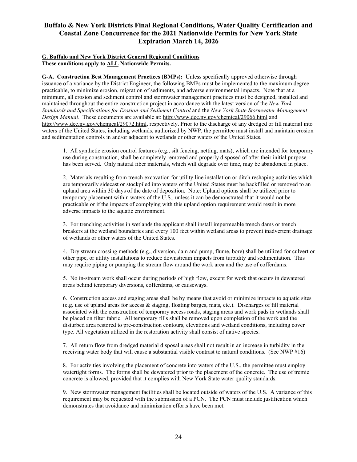#### **G. Buffalo and New York District General Regional Conditions These conditions apply to ALL Nationwide Permits.**

**G-A. Construction Best Management Practices (BMPs):** Unless specifically approved otherwise through issuance of a variance by the District Engineer, the following BMPs must be implemented to the maximum degree practicable, to minimize erosion, migration of sediments, and adverse environmental impacts. Note that at a minimum, all erosion and sediment control and stormwater management practices must be designed, installed and maintained throughout the entire construction project in accordance with the latest version of the *New York Standards and Specifications for Erosion and Sediment Control* and the *New York State Stormwater Management Design Manual*. These documents are available at[: http://www.d](http://www.dec.ny.gov/chemical/29066.html)ec.ny.gov/chemical/29066.html and <http://www.dec.ny.gov/chemical/29072.html>, respectively. Prior to the discharge of any dredged or fill material into waters of the United States, including wetlands, authorized by NWP, the permittee must install and maintain erosion and sedimentation controls in and/or adjacent to wetlands or other waters of the United States.

1. All synthetic erosion control features (e.g., silt fencing, netting, mats), which are intended for temporary use during construction, shall be completely removed and properly disposed of after their initial purpose has been served. Only natural fiber materials, which will degrade over time, may be abandoned in place.

2. Materials resulting from trench excavation for utility line installation or ditch reshaping activities which are temporarily sidecast or stockpiled into waters of the United States must be backfilled or removed to an upland area within 30 days of the date of deposition. Note: Upland options shall be utilized prior to temporary placement within waters of the U.S., unless it can be demonstrated that it would not be practicable or if the impacts of complying with this upland option requirement would result in more adverse impacts to the aquatic environment.

3. For trenching activities in wetlands the applicant shall install impermeable trench dams or trench breakers at the wetland boundaries and every 100 feet within wetland areas to prevent inadvertent drainage of wetlands or other waters of the United States.

4. Dry stream crossing methods (e.g., diversion, dam and pump, flume, bore) shall be utilized for culvert or other pipe, or utility installations to reduce downstream impacts from turbidity and sedimentation. This may require piping or pumping the stream flow around the work area and the use of cofferdams.

5. No in-stream work shall occur during periods of high flow, except for work that occurs in dewatered areas behind temporary diversions, cofferdams, or causeways.

6. Construction access and staging areas shall be by means that avoid or minimize impacts to aquatic sites (e.g. use of upland areas for access & staging, floating barges, mats, etc.). Discharges of fill material associated with the construction of temporary access roads, staging areas and work pads in wetlands shall be placed on filter fabric. All temporary fills shall be removed upon completion of the work and the disturbed area restored to pre-construction contours, elevations and wetland conditions, including cover type. All vegetation utilized in the restoration activity shall consist of native species.

7. All return flow from dredged material disposal areas shall not result in an increase in turbidity in the receiving water body that will cause a substantial visible contrast to natural conditions. (See NWP #16)

8. For activities involving the placement of concrete into waters of the U.S., the permittee must employ watertight forms. The forms shall be dewatered prior to the placement of the concrete. The use of tremie concrete is allowed, provided that it complies with New York State water quality standards.

9. New stormwater management facilities shall be located outside of waters of the U.S. A variance of this requirement may be requested with the submission of a PCN. The PCN must include justification which demonstrates that avoidance and minimization efforts have been met.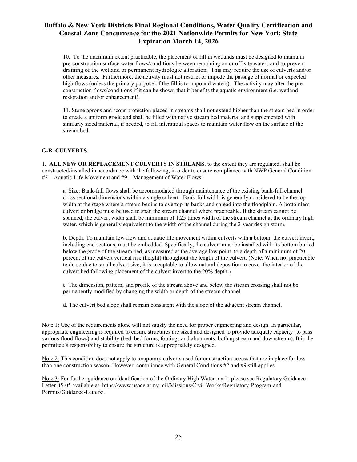10. To the maximum extent practicable, the placement of fill in wetlands must be designed to maintain pre-construction surface water flows/conditions between remaining on or off-site waters and to prevent draining of the wetland or permanent hydrologic alteration. This may require the use of culverts and/or other measures. Furthermore, the activity must not restrict or impede the passage of normal or expected high flows (unless the primary purpose of the fill is to impound waters). The activity may alter the preconstruction flows/conditions if it can be shown that it benefits the aquatic environment (i.e. wetland restoration and/or enhancement).

11. Stone aprons and scour protection placed in streams shall not extend higher than the stream bed in order to create a uniform grade and shall be filled with native stream bed material and supplemented with similarly sized material, if needed, to fill interstitial spaces to maintain water flow on the surface of the stream bed.

### **G-B. CULVERTS**

1. **ALL NEW OR REPLACEMENT CULVERTS IN STREAMS**, to the extent they are regulated, shall be constructed/installed in accordance with the following, in order to ensure compliance with NWP General Condition #2 – Aquatic Life Movement and #9 – Management of Water Flows:

a. Size: Bank-full flows shall be accommodated through maintenance of the existing bank-full channel cross sectional dimensions within a single culvert. Bank-full width is generally considered to be the top width at the stage where a stream begins to overtop its banks and spread into the floodplain. A bottomless culvert or bridge must be used to span the stream channel where practicable. If the stream cannot be spanned, the culvert width shall be minimum of 1.25 times width of the stream channel at the ordinary high water, which is generally equivalent to the width of the channel during the 2-year design storm.

b. Depth: To maintain low flow and aquatic life movement within culverts with a bottom, the culvert invert, including end sections, must be embedded. Specifically, the culvert must be installed with its bottom buried below the grade of the stream bed, as measured at the average low point, to a depth of a minimum of 20 percent of the culvert vertical rise (height) throughout the length of the culvert. (Note: When not practicable to do so due to small culvert size, it is acceptable to allow natural deposition to cover the interior of the culvert bed following placement of the culvert invert to the 20% depth.)

c. The dimension, pattern, and profile of the stream above and below the stream crossing shall not be permanently modified by changing the width or depth of the stream channel.

d. The culvert bed slope shall remain consistent with the slope of the adjacent stream channel.

Note 1: Use of the requirements alone will not satisfy the need for proper engineering and design. In particular, appropriate engineering is required to ensure structures are sized and designed to provide adequate capacity (to pass various flood flows) and stability (bed, bed forms, footings and abutments, both upstream and downstream). It is the permittee's responsibility to ensure the structure is appropriately designed.

Note 2: This condition does not apply to temporary culverts used for construction access that are in place for less than one construction season. However, compliance with General Conditions #2 and #9 still applies.

Note 3: For further guidance on identification of the Ordinary High Water mark, please see Regulatory Guidance Letter 05-05 available at: [https://www.usace.army.mil/Missions/Civil-Works/Regulatory-Program-and-](https://www.usace.army.mil/Missions/Civil-Works/Regulatory-Program-and-Permits/Guidance-Letters/)[Permits/Guidance-Letters/.](https://www.usace.army.mil/Missions/Civil-Works/Regulatory-Program-and-Permits/Guidance-Letters/)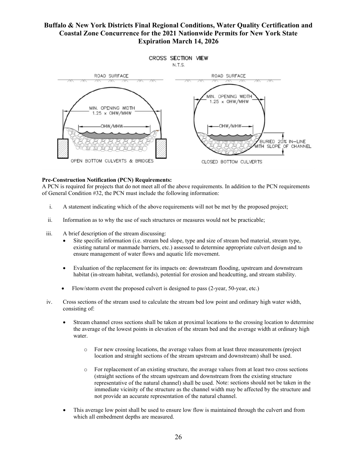

#### **Pre-Construction Notification (PCN) Requirements:**

A PCN is required for projects that do not meet all of the above requirements. In addition to the PCN requirements of General Condition #32, the PCN must include the following information:

- i. A statement indicating which of the above requirements will not be met by the proposed project;
- ii. Information as to why the use of such structures or measures would not be practicable;
- iii. A brief description of the stream discussing:
	- Site specific information (i.e. stream bed slope, type and size of stream bed material, stream type, existing natural or manmade barriers, etc.) assessed to determine appropriate culvert design and to ensure management of water flows and aquatic life movement.
	- Evaluation of the replacement for its impacts on: downstream flooding, upstream and downstream habitat (in-stream habitat, wetlands), potential for erosion and headcutting, and stream stability.
	- Flow/storm event the proposed culvert is designed to pass (2-year, 50-year, etc.)
- iv. Cross sections of the stream used to calculate the stream bed low point and ordinary high water width, consisting of:
	- Stream channel cross sections shall be taken at proximal locations to the crossing location to determine the average of the lowest points in elevation of the stream bed and the average width at ordinary high water.
		- o For new crossing locations, the average values from at least three measurements (project location and straight sections of the stream upstream and downstream) shall be used.
		- o For replacement of an existing structure, the average values from at least two cross sections (straight sections of the stream upstream and downstream from the existing structure representative of the natural channel) shall be used. Note: sections should not be taken in the immediate vicinity of the structure as the channel width may be affected by the structure and not provide an accurate representation of the natural channel.
	- This average low point shall be used to ensure low flow is maintained through the culvert and from which all embedment depths are measured.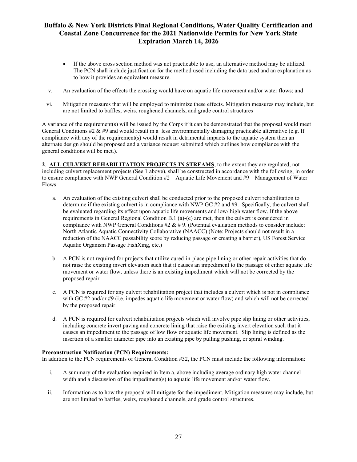- If the above cross section method was not practicable to use, an alternative method may be utilized. The PCN shall include justification for the method used including the data used and an explanation as to how it provides an equivalent measure.
- v. An evaluation of the effects the crossing would have on aquatic life movement and/or water flows; and
- vi. Mitigation measures that will be employed to minimize these effects. Mitigation measures may include, but are not limited to baffles, weirs, roughened channels, and grade control structures

A variance of the requirement(s) will be issued by the Corps if it can be demonstrated that the proposal would meet General Conditions #2 & #9 and would result in a less environmentally damaging practicable alternative (e.g. If compliance with any of the requirement(s) would result in detrimental impacts to the aquatic system then an alternate design should be proposed and a variance request submitted which outlines how compliance with the general conditions will be met.).

**2**. **ALL CULVERT REHABILITATION PROJECTS IN STREAMS**, to the extent they are regulated, not including culvert replacement projects (See 1 above), shall be constructed in accordance with the following, in order to ensure compliance with NWP General Condition #2 – Aquatic Life Movement and #9 – Management of Water Flows:

- a. An evaluation of the existing culvert shall be conducted prior to the proposed culvert rehabilitation to determine if the existing culvert is in compliance with NWP GC #2 and #9. Specifically, the culvert shall be evaluated regarding its effect upon aquatic life movements and low/ high water flow. If the above requirements in General Regional Condition B.1 (a)-(e) are met, then the culvert is considered in compliance with NWP General Conditions  $\#2 \& \# 9$ . (Potential evaluation methods to consider include: North Atlantic Aquatic Connectivity Collaborative (NAACC) (Note: Projects should not result in a reduction of the NAACC passability score by reducing passage or creating a barrier), US Forest Service Aquatic Organism Passage FishXing, etc.)
- b. A PCN is not required for projects that utilize cured-in-place pipe lining or other repair activities that do not raise the existing invert elevation such that it causes an impediment to the passage of either aquatic life movement or water flow, unless there is an existing impediment which will not be corrected by the proposed repair.
- c. A PCN is required for any culvert rehabilitation project that includes a culvert which is not in compliance with GC #2 and/or #9 (i.e. impedes aquatic life movement or water flow) and which will not be corrected by the proposed repair.
- d. A PCN is required for culvert rehabilitation projects which will involve pipe slip lining or other activities, including concrete invert paving and concrete lining that raise the existing invert elevation such that it causes an impediment to the passage of low flow or aquatic life movement. Slip lining is defined as the insertion of a smaller diameter pipe into an existing pipe by pulling pushing, or spiral winding.

#### **Preconstruction Notification (PCN) Requirements:**

In addition to the PCN requirements of General Condition #32, the PCN must include the following information:

- i. A summary of the evaluation required in Item a. above including average ordinary high water channel width and a discussion of the impediment(s) to aquatic life movement and/or water flow.
- ii. Information as to how the proposal will mitigate for the impediment. Mitigation measures may include, but are not limited to baffles, weirs, roughened channels, and grade control structures.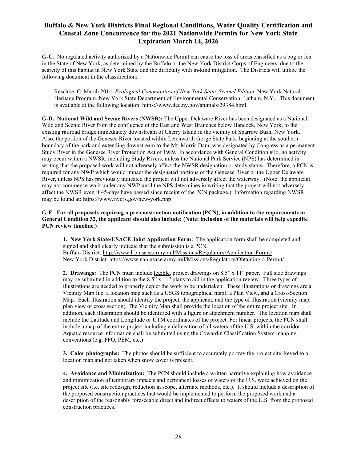**G-C.** No regulated activity authorized by a Nationwide Permit can cause the loss of areas classified as a bog or fen in the State of New York, as determined by the Buffalo or the New York District Corps of Engineers, due to the scarcity of this habitat in New York State and the difficulty with in-kind mitigation. The Districts will utilize the following document in the classification:

Reschke, C. March 2014. *Ecological Communities of New York State. Second Edition*. New York Natural Heritage Program. New York State Department of Environmental Conservation. Latham, N.Y. This document is available at the following location: [https://www.dec.ny.gov/animals/29384.html.](https://www.dec.ny.gov/animals/29384.html)

**G-D. National Wild and Scenic Rivers (NWSR):** The Upper Delaware River has been designated as a National Wild and Scenic River from the confluence of the East and West Branches below Hancock, New York, to the existing railroad bridge immediately downstream of Cherry Island in the vicinity of Sparrow Bush, New York. Also, the portion of the Genesee River located within Letchworth Gorge State Park, beginning at the southern boundary of the park and extending downstream to the Mt. Morris Dam, was designated by Congress as a permanent Study River in the Genesee River Protection Act of 1989. In accordance with General Condition #16, no activity may occur within a NWSR, including Study Rivers, unless the National Park Service (NPS) has determined in writing that the proposed work will not adversely affect the NWSR designation or study status**.** Therefore, a PCN is required for any NWP which would impact the designated portions of the Genesee River or the Upper Delaware River, unless NPS has previously indicated the project will not adversely affect the waterway. (Note: the applicant may not commence work under any NWP until the NPS determines in writing that the project will not adversely affect the NWSR even if 45-days have passed since receipt of the PCN package.) Information regarding NWSR may be found at**:** <https://www.rivers.gov/new-york.php>

**G-E. For all proposals requiring a pre-construction notification (PCN), in addition to the requirements in General Condition 32, the applicant should also include: (Note: inclusion of the materials will help expedite PCN review timeline.)**

**1. New York State/USACE Joint Application Form:** The application form shall be completed and signed and shall clearly indicate that the submission is a PCN. Buffalo District:<http://www.lrb.usace.army.mil/Missions/Regulatory/Application-Forms/> New York District: <https://www.nan.usace.army.mil/Missions/Regulatory/Obtaining-a-Permit/>

**2. Drawings:** The PCN must include legible, project drawings on 8.5" x 11" paper. Full size drawings may be submitted in addition to the  $8.5$ "  $\times$  11" plans to aid in the application review. Three types of illustrations are needed to properly depict the work to be undertaken. These illustrations or drawings are a Vicinity Map (i.e. a location map such as a USGS topographical map), a Plan View, and a Cross-Section Map. Each illustration should identify the project, the applicant, and the type of illustration (vicinity map, plan view or cross section). The Vicinity Map shall provide the location of the entire project site. In addition, each illustration should be identified with a figure or attachment number. The location map shall include the Latitude and Longitude or UTM coordinates of the project. For linear projects, the PCN shall include a map of the entire project including a delineation of all waters of the U.S. within the corridor. Aquatic resource information shall be submitted using the Cowardin Classification System mapping conventions (e.g. PFO, PEM, etc.)

**3. Color photographs:** The photos should be sufficient to accurately portray the project site, keyed to a location map and not taken when snow cover is present.

**4. Avoidance and Minimization:** The PCN should include a written narrative explaining how avoidance and minimization of temporary impacts and permanent losses of waters of the U.S. were achieved on the project site (i.e. site redesign, reduction in scope, alternate methods, etc.). It should include a description of the proposed construction practices that would be implemented to perform the proposed work and a description of the reasonably foreseeable direct and indirect effects to waters of the U.S. from the proposed construction practices.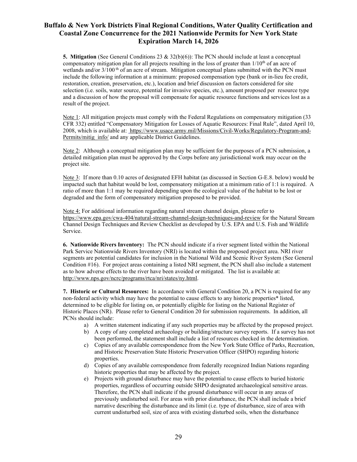**5. Mitigation** (See General Conditions 23 & 32(b)(6)): The PCN should include at least a conceptual compensatory mitigation plan for all projects resulting in the loss of greater than  $1/10<sup>th</sup>$  of an acre of wetlands and/or  $3/100$ <sup>th</sup> of an acre of stream. Mitigation conceptual plans submitted with the PCN must include the following information at a minimum: proposed compensation type (bank or in-lieu fee credit, restoration, creation, preservation, etc.), location and brief discussion on factors considered for site selection (i.e. soils, water source, potential for invasive species, etc.), amount proposed per resource type and a discussion of how the proposal will compensate for aquatic resource functions and services lost as a result of the project.

Note 1: All mitigation projects must comply with the Federal Regulations on compensatory mitigation (33 CFR 332) entitled "Compensatory Mitigation for Losses of Aquatic Resources: Final Rule", dated April 10, 2008, which is available at: [https://www.usace.army.mil/Missions/Civil-Works/Regulatory-Program-and-](https://www.usace.army.mil/Missions/Civil-Works/Regulatory-Program-and-Permits/mitig_info/)[Permits/mitig\\_info/](https://www.usace.army.mil/Missions/Civil-Works/Regulatory-Program-and-Permits/mitig_info/) and any applicable District Guidelines.

Note 2: Although a conceptual mitigation plan may be sufficient for the purposes of a PCN submission, a detailed mitigation plan must be approved by the Corps before any jurisdictional work may occur on the project site.

Note 3: If more than 0.10 acres of designated EFH habitat (as discussed in Section G-E.8. below) would be impacted such that habitat would be lost, compensatory mitigation at a minimum ratio of 1:1 is required. A ratio of more than 1:1 may be required depending upon the ecological value of the habitat to be lost or degraded and the form of compensatory mitigation proposed to be provided.

Note 4: For additional information regarding natural stream channel design, please refer to <https://www.epa.gov/cwa-404/natural-stream-channel-design-techniques-and-review> for the Natural Stream Channel Design Techniques and Review Checklist as developed by U.S. EPA and U.S. Fish and Wildlife Service.

**6. Nationwide Rivers Inventory:** The PCN should indicate if a river segment listed within the National Park Service Nationwide Rivers Inventory (NRI) is located within the proposed project area. NRI river segments are potential candidates for inclusion in the National Wild and Scenic River System (See General Condition #16). For project areas containing a listed NRI segment, the PCN shall also include a statement as to how adverse effects to the river have been avoided or mitigated. The list is available at: [http://www.nps.gov/ncrc/programs/rtca/nri/states/ny.html.](http://www.nps.gov/ncrc/programs/rtca/nri/states/ny.html)

**7. Historic or Cultural Resources:** In accordance with General Condition 20, a PCN is required for any non-federal activity which may have the potential to cause effects to any historic properties\* listed, determined to be eligible for listing on, or potentially eligible for listing on the National Register of Historic Places (NR). Please refer to General Condition 20 for submission requirements. In addition, all PCNs should include:

- a) A written statement indicating if any such properties may be affected by the proposed project.
- b) A copy of any completed archaeology or building/structure survey reports. If a survey has not been performed, the statement shall include a list of resources checked in the determination.
- c) Copies of any available correspondence from the New York State Office of Parks, Recreation, and Historic Preservation State Historic Preservation Officer (SHPO) regarding historic properties.
- d) Copies of any available correspondence from federally recognized Indian Nations regarding historic properties that may be affected by the project.
- e) Projects with ground disturbance may have the potential to cause effects to buried historic properties, regardless of occurring outside SHPO designated archaeological sensitive areas. Therefore, the PCN shall indicate if the ground disturbance will occur in any areas of previously undisturbed soil. For areas with prior disturbance, the PCN shall include a brief narrative describing the disturbance and its limit (i.e. type of disturbance, size of area with current undisturbed soil, size of area with existing disturbed soils, when the disturbance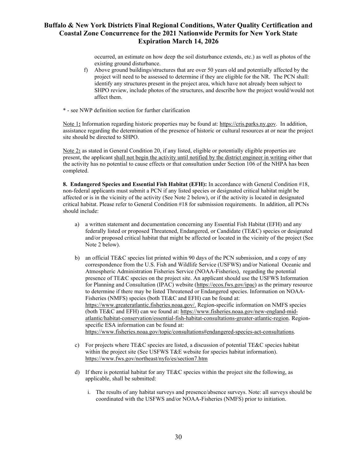occurred, an estimate on how deep the soil disturbance extends, etc.) as well as photos of the existing ground disturbance.

- f) Above ground buildings/structures that are over 50 years old and potentially affected by the project will need to be assessed to determine if they are eligible for the NR. The PCN shall: identify any structures present in the project area, which have not already been subject to SHPO review, include photos of the structures, and describe how the project would/would not affect them.
- \* see NWP definition section for further clarification

Note 1**:** Information regarding historic properties may be found at: [https://cris.parks.ny.gov.](https://cris.parks.ny.gov/) In addition, assistance regarding the determination of the presence of historic or cultural resources at or near the project site should be directed to SHPO.

Note 2**:** as stated in General Condition 20, if any listed, eligible or potentially eligible properties are present, the applicant shall not begin the activity until notified by the district engineer in writing either that the activity has no potential to cause effects or that consultation under Section 106 of the NHPA has been completed.

**8. Endangered Species and Essential Fish Habitat (EFH):** In accordance with General Condition #18, non-federal applicants must submit a PCN if any listed species or designated critical habitat might be affected or is in the vicinity of the activity (See Note 2 below), or if the activity is located in designated critical habitat. Please refer to General Condition #18 for submission requirements. In addition, all PCNs should include:

- a) a written statement and documentation concerning any Essential Fish Habitat (EFH) and any federally listed or proposed Threatened, Endangered, or Candidate (TE&C) species or designated and/or proposed critical habitat that might be affected or located in the vicinity of the project (See Note 2 below).
- b) an official TE&C species list printed within 90 days of the PCN submission, and a copy of any correspondence from the U.S. Fish and Wildlife Service (USFWS) and/or National Oceanic and Atmospheric Administration Fisheries Service (NOAA-Fisheries), regarding the potential presence of TE&C species on the project site. An applicant should use the USFWS Information for Planning and Consultation (IPAC) website (https://ecos.fws.gov/ipac) as the primary resource to determine if there may be listed Threatened or Endangered species. Information on NOAA-Fisheries (NMFS) species (both TE&C and EFH) can be found at: [https://www.greateratlantic.fisheries.noaa.gov/.](https://www.greateratlantic.fisheries.noaa.gov/) Region-specific information on NMFS species (both TE&C and EFH) can we found at: https://www.fisheries.noaa.gov/new-england-midatlantic/habitat-conservation/essential-fish-habitat-consultations-greater-atlantic-region. Regionspecific ESA information can be found at: [https://www.fisheries.noaa.gov/topic/consultations#endangered-species-act-consultations.](https://www.fisheries.noaa.gov/topic/consultations#endangered-species-act-consultations)
- c) For projects where TE&C species are listed, a discussion of potential TE&C species habitat within the project site (See USFWS T&E website for species habitat information). https://www.fws.gov/northeast/nyfo/es/section7.htm
- d) If there is potential habitat for any TE&C species within the project site the following, as applicable, shall be submitted:
	- i. The results of any habitat surveys and presence/absence surveys. Note: all surveys should be coordinated with the USFWS and/or NOAA-Fisheries (NMFS) prior to initiation.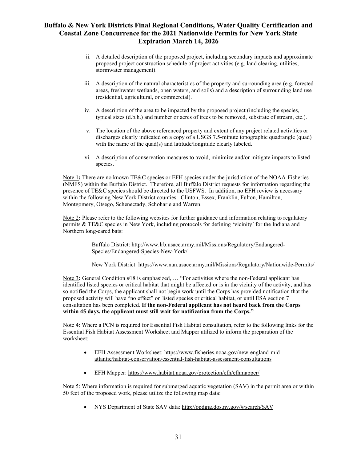- ii. A detailed description of the proposed project, including secondary impacts and approximate proposed project construction schedule of project activities (e.g. land clearing, utilities, stormwater management).
- iii. A description of the natural characteristics of the property and surrounding area (e.g. forested areas, freshwater wetlands, open waters, and soils) and a description of surrounding land use (residential, agricultural, or commercial).
- iv. A description of the area to be impacted by the proposed project (including the species, typical sizes (d.b.h.) and number or acres of trees to be removed, substrate of stream, etc.).
- v. The location of the above referenced property and extent of any project related activities or discharges clearly indicated on a copy of a USGS 7.5-minute topographic quadrangle (quad) with the name of the quad(s) and latitude/longitude clearly labeled.
- vi. A description of conservation measures to avoid, minimize and/or mitigate impacts to listed species.

Note 1**:** There are no known TE&C species or EFH species under the jurisdiction of the NOAA-Fisheries (NMFS) within the Buffalo District. Therefore, all Buffalo District requests for information regarding the presence of TE&C species should be directed to the USFWS. In addition, no EFH review is necessary within the following New York District counties: Clinton, Essex, Franklin, Fulton, Hamilton, Montgomery, Otsego, Schenectady, Schoharie and Warren.

Note 2**:** Please refer to the following websites for further guidance and information relating to regulatory permits & TE&C species in New York, including protocols for defining 'vicinity' for the Indiana and Northern long-eared bats:

> Buffalo District: [http://www.lrb.usace.army.mil/Missions/Regulatory/Endangered-](http://www.lrb.usace.army.mil/Missions/Regulatory/Endangered-Species/Endangered-Species-New-York/)[Species/Endangered-Species-New-York/](http://www.lrb.usace.army.mil/Missions/Regulatory/Endangered-Species/Endangered-Species-New-York/)

New York District: https://www.nan.usace.army.mil/Missions/Regulatory/Nationwide-Permits/

Note 3**:** General Condition #18 is emphasized, … "For activities where the non-Federal applicant has identified listed species or critical habitat that might be affected or is in the vicinity of the activity, and has so notified the Corps, the applicant shall not begin work until the Corps has provided notification that the proposed activity will have "no effect" on listed species or critical habitat, or until ESA section 7 consultation has been completed. **If the non-Federal applicant has not heard back from the Corps within 45 days, the applicant must still wait for notification from the Corps."**

Note 4: Where a PCN is required for Essential Fish Habitat consultation, refer to the following links for the Essential Fish Habitat Assessment Worksheet and Mapper utilized to inform the preparation of the worksheet:

- EFH Assessment Worksheet[: https://www.fisheries.noaa.gov/new-england-mid](https://www.fisheries.noaa.gov/new-england-mid-atlantic/habitat-conservation/essential-fish-habitat-assessment-consultations)[atlantic/habitat-conservation/essential-fish-habitat-assessment-consultations](https://www.fisheries.noaa.gov/new-england-mid-atlantic/habitat-conservation/essential-fish-habitat-assessment-consultations)
- EFH Mapper:<https://www.habitat.noaa.gov/protection/efh/efhmapper/>

Note 5: Where information is required for submerged aquatic vegetation (SAV) in the permit area or within 50 feet of the proposed work, please utilize the following map data:

• NYS Department of State SAV data:<http://opdgig.dos.ny.gov/#/search/SAV>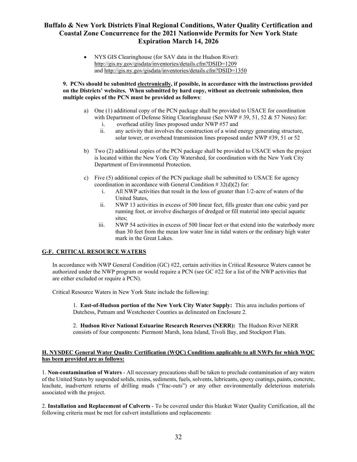• NYS GIS Clearinghouse (for SAV data in the Hudson River): <http://gis.ny.gov/gisdata/inventories/details.cfm?DSID=1209> and<http://gis.ny.gov/gisdata/inventories/details.cfm?DSID=1350>

**9. PCNs should be submitted electronically, if possible, in accordance with the instructions provided on the Districts' websites. When submitted by hard copy, without an electronic submission, then multiple copies of the PCN must be provided as follows**:

- a) One (1) additional copy of the PCN package shall be provided to USACE for coordination with Department of Defense Siting Clearinghouse (See NWP  $\#$  39, 51, 52 & 57 Notes) for:
	- i. overhead utility lines proposed under NWP #57 and
	- ii. any activity that involves the construction of a wind energy generating structure, solar tower, or overhead transmission lines proposed under NWP #39, 51 or 52
- b) Two (2) additional copies of the PCN package shall be provided to USACE when the project is located within the New York City Watershed, for coordination with the New York City Department of Environmental Protection.
- c) Five (5) additional copies of the PCN package shall be submitted to USACE for agency coordination in accordance with General Condition # 32(d)(2) for:
	- i. All NWP activities that result in the loss of greater than 1/2-acre of waters of the United States,
	- ii. NWP 13 activities in excess of 500 linear feet, fills greater than one cubic yard per running foot, or involve discharges of dredged or fill material into special aquatic sites;
	- iii. NWP 54 activities in excess of 500 linear feet or that extend into the waterbody more than 30 feet from the mean low water line in tidal waters or the ordinary high water mark in the Great Lakes.

### **G-F. CRITICAL RESOURCE WATERS**

In accordance with NWP General Condition (GC) #22, certain activities in Critical Resource Waters cannot be authorized under the NWP program or would require a PCN (see GC #22 for a list of the NWP activities that are either excluded or require a PCN).

Critical Resource Waters in New York State include the following:

1. **East-of-Hudson portion of the New York City Water Supply:** This area includes portions of Dutchess, Putnam and Westchester Counties as delineated on Enclosure 2.

2. **Hudson River National Estuarine Research Reserves (NERR):** The Hudson River NERR consists of four components: Piermont Marsh, Iona Island, Tivoli Bay, and Stockport Flats.

#### **H. NYSDEC General Water Quality Certification (WQC) Conditions applicable to all NWPs for which WQC has been provided are as follows:**

1. **Non-contamination of Waters** - All necessary precautions shall be taken to preclude contamination of any waters of the United States by suspended solids, resins, sediments, fuels,solvents, lubricants, epoxy coatings, paints, concrete, leachate, inadvertent returns of drilling muds ("frac-outs") or any other environmentally deleterious materials associated with the project.

2. **Installation and Replacement of Culverts** - To be covered under this blanket Water Quality Certification, all the following criteria must be met for culvert installations and replacements: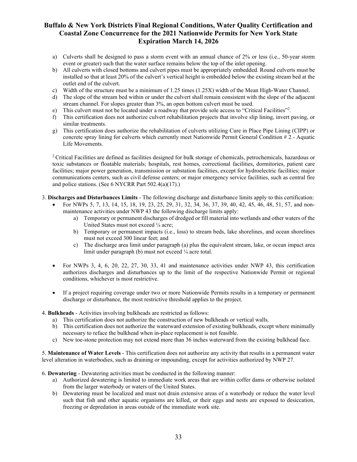- a) Culverts shall be designed to pass a storm event with an annual chance of 2% or less (i.e., 50-year storm event or greater) such that the water surface remains below the top of the inlet opening.
- b) All culverts with closed bottoms and culvert pipes must be appropriately embedded. Round culverts must be installed so that at least 20% of the culvert's vertical height is embedded below the existing stream bed at the outlet end of the culvert.
- c) Width of the structure must be a minimum of 1.25 times (1.25X) width of the Mean High-Water Channel.
- d) The slope of the stream bed within or under the culvert shall remain consistent with the slope of the adjacent stream channel. For slopes greater than 3%, an open bottom culvert must be used.
- e) This culvert must not be located under a roadway that provide sole access to "Critical Facilities"<sup>2</sup>.
- f) This certification does not authorize culvert rehabilitation projects that involve slip lining, invert paving, or similar treatments.
- g) This certification does authorize the rehabilitation of culverts utilizing Cure in Place Pipe Lining (CIPP) or concrete spray lining for culverts which currently meet Nationwide Permit General Condition # 2 - Aquatic Life Movements.

<sup>2</sup> Critical Facilities are defined as facilities designed for bulk storage of chemicals, petrochemicals, hazardous or toxic substances or floatable materials; hospitals, rest homes, correctional facilities, dormitories, patient care facilities; major power generation, transmission or substation facilities, except for hydroelectric facilities; major communications centers, such as civil defense centers; or major emergency service facilities, such as central fire and police stations. (See 6 NYCRR Part 502.4(a)(17).)

3. **Discharges and Disturbances Limits** - The following discharge and disturbance limits apply to this certification:

- For NWPs 5, 7, 13, 14, 15, 18, 19, 23, 25, 29, 31, 32, 34, 36, 37, 39, 40, 42, 45, 46, 48, 51, 57, and nonmaintenance activities under NWP 43 the following discharge limits apply:
	- a) Temporary or permanent discharges of dredged or fill material into wetlands and other waters of the United States must not exceed ¼ acre;
	- b) Temporary or permanent impacts (i.e., loss) to stream beds, lake shorelines, and ocean shorelines must not exceed 300 linear feet; and
	- c) The discharge area limit under paragraph (a) plus the equivalent stream, lake, or ocean impact area limit under paragraph (b) must not exceed 1/4 acre total.
- For NWPs 3, 4, 6, 20, 22, 27, 30, 33, 41 and maintenance activities under NWP 43, this certification authorizes discharges and disturbances up to the limit of the respective Nationwide Permit or regional conditions, whichever is most restrictive.
- If a project requiring coverage under two or more Nationwide Permits results in a temporary or permanent discharge or disturbance, the most restrictive threshold applies to the project.

#### 4. **Bulkheads** - Activities involving bulkheads are restricted as follows:

- a) This certification does not authorize the construction of new bulkheads or vertical walls.
- b) This certification does not authorize the waterward extension of existing bulkheads, except where minimally necessary to reface the bulkhead when in-place replacement is not feasible.
- c) New toe-stone protection may not extend more than 36 inches waterward from the existing bulkhead face.

5. **Maintenance of Water Levels** - This certification does not authorize any activity that results in a permanent water level alteration in waterbodies, such as draining or impounding, except for activities authorized by NWP 27.

6. **Dewatering** - Dewatering activities must be conducted in the following manner:

- a) Authorized dewatering is limited to immediate work areas that are within coffer dams or otherwise isolated from the larger waterbody or waters of the United States.
- b) Dewatering must be localized and must not drain extensive areas of a waterbody or reduce the water level such that fish and other aquatic organisms are killed, or their eggs and nests are exposed to desiccation, freezing or depredation in areas outside of the immediate work site.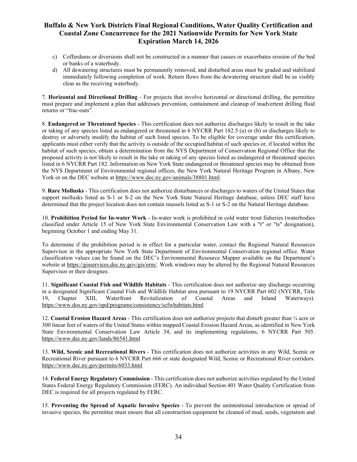- c) Cofferdams or diversions shall not be constructed in a manner that causes or exacerbates erosion of the bed or banks of a waterbody.
- d) All dewatering structures must be permanently removed, and disturbed areas must be graded and stabilized immediately following completion of work. Return flows from the dewatering structure shall be as visibly clear as the receiving waterbody.

7. **Horizontal and Directional Drilling** - For projects that involve horizontal or directional drilling, the permittee must prepare and implement a plan that addresses prevention, containment and cleanup of inadvertent drilling fluid returns or "frac-outs".

8. **Endangered or Threatened Species** - This certification does not authorize discharges likely to result in the take or taking of any species listed as endangered or threatened in 6 NYCRR Part 182.5 (a) or (b) or discharges likely to destroy or adversely modify the habitat of such listed species. To be eligible for coverage under this certification, applicants must either verify that the activity is outside of the occupied habitat of such species or, if located within the habitat of such species, obtain a determination from the NYS Department of Conservation Regional Office that the proposed activity is not likely to result in the take or taking of any species listed as endangered or threatened species listed in 6 NYCRR Part 182. Information on New York State endangered or threatened species may be obtained from the NYS Department of Environmental regional offices, the New York Natural Heritage Program in Albany, New York or on the DEC website at [https://www.dec.ny.gov/animals/38801.html.](https://www.dec.ny.gov/animals/38801.html)

9. **Rare Mollusks** - This certification does not authorize disturbances or discharges to waters of the United States that support mollusks listed as S-1 or S-2 on the New York State Natural Heritage database, unless DEC staff have determined that the project location does not contain mussels listed as S-1 or S-2 on the Natural Heritage database.

10. **Prohibition Period for In-water Work** - In-water work is prohibited in cold water trout fisheries (waterbodies classified under Article 15 of New York State Environmental Conservation Law with a "t" or "ts" designation), beginning October 1 and ending May 31.

To determine if the prohibition period is in effect for a particular water, contact the Regional Natural Resources Supervisor in the appropriate New York State Department of Environmental Conservation regional office. Water classification values can be found on the DEC's Environmental Resource Mapper available on the Department's website at https://gisservices.dec.ny.gov/gis/erm/. Work windows may be altered by the Regional Natural Resources Supervisor or their designee.

11. **Significant Coastal Fish and Wildlife Habitats** - This certification does not authorize any discharge occurring in a designated Significant Coastal Fish and Wildlife Habitat area pursuant to 19 NYCRR Part 602 (NYCRR, Title 19, Chapter XIII, Waterfront Revitalization of Coastal Areas and Inland Waterways). <https://www.dos.ny.gov/opd/programs/consistency/scfwhabitats.html>

12. **Coastal Erosion Hazard Areas** - This certification does not authorize projects that disturb greater than ¼ acre or 300 linear feet of waters of the United States within mapped Coastal Erosion Hazard Areas, as identified in New York State Environmental Conservation Law Article 34, and its implementing regulations, 6 NYCRR Part 505. <https://www.dec.ny.gov/lands/86541.html>

13. **Wild, Scenic and Recreational Rivers** - This certification does not authorize activities in any Wild, Scenic or Recreational River pursuant to 6 NYCRR Part 666 or state designated Wild, Scenic or Recreational River corridors. <https://www.dec.ny.gov/permits/6033.html>

14. **Federal Energy Regulatory Commission** - This certification does not authorize activities regulated by the United States Federal Energy Regulatory Commission (FERC). An individual Section 401 Water Quality Certification from DEC is required for all projects regulated by FERC.

15. **Preventing the Spread of Aquatic Invasive Species** - To prevent the unintentional introduction or spread of invasive species, the permittee must ensure that all construction equipment be cleaned of mud, seeds, vegetation and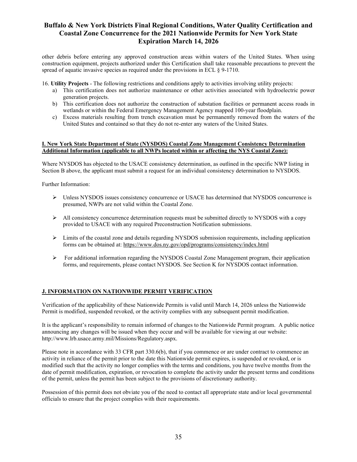other debris before entering any approved construction areas within waters of the United States. When using construction equipment, projects authorized under this Certification shall take reasonable precautions to prevent the spread of aquatic invasive species as required under the provisions in ECL § 9-1710.

16. **Utility Projects** - The following restrictions and conditions apply to activities involving utility projects:

- a) This certification does not authorize maintenance or other activities associated with hydroelectric power generation projects.
- b) This certification does not authorize the construction of substation facilities or permanent access roads in wetlands or within the Federal Emergency Management Agency mapped 100-year floodplain.
- c) Excess materials resulting from trench excavation must be permanently removed from the waters of the United States and contained so that they do not re-enter any waters of the United States.

#### **I. New York State Department of State (NYSDOS) Coastal Zone Management Consistency Determination Additional Information (applicable to all NWPs located within or affecting the NYS Coastal Zone):**

Where NYSDOS has objected to the USACE consistency determination, as outlined in the specific NWP listing in Section B above, the applicant must submit a request for an individual consistency determination to NYSDOS.

Further Information:

- Unless NYSDOS issues consistency concurrence or USACE has determined that NYSDOS concurrence is presumed, NWPs are not valid within the Coastal Zone.
- $\triangleright$  All consistency concurrence determination requests must be submitted directly to NYSDOS with a copy provided to USACE with any required Preconstruction Notification submissions.
- Limits of the coastal zone and details regarding NYSDOS submission requirements, including application forms can be obtained at: <https://www.dos.ny.gov/opd/programs/consistency/index.html>
- $\triangleright$  For additional information regarding the NYSDOS Coastal Zone Management program, their application forms, and requirements, please contact NYSDOS. See Section K for NYSDOS contact information.

#### **J. INFORMATION ON NATIONWIDE PERMIT VERIFICATION**

Verification of the applicability of these Nationwide Permits is valid until March 14, 2026 unless the Nationwide Permit is modified, suspended revoked, or the activity complies with any subsequent permit modification.

It is the applicant's responsibility to remain informed of changes to the Nationwide Permit program. A public notice announcing any changes will be issued when they occur and will be available for viewing at our website: http://www.lrb.usace.army.mil/Missions/Regulatory.aspx.

Please note in accordance with 33 CFR part 330.6(b), that if you commence or are under contract to commence an activity in reliance of the permit prior to the date this Nationwide permit expires, is suspended or revoked, or is modified such that the activity no longer complies with the terms and conditions, you have twelve months from the date of permit modification, expiration, or revocation to complete the activity under the present terms and conditions of the permit, unless the permit has been subject to the provisions of discretionary authority.

Possession of this permit does not obviate you of the need to contact all appropriate state and/or local governmental officials to ensure that the project complies with their requirements.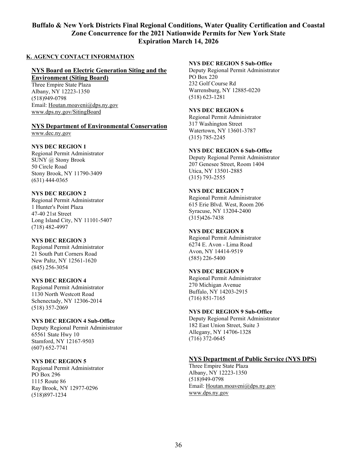#### **K. AGENCY CONTACT INFORMATION**

### **NYS Board on Electric Generation Siting and the**

**Environment (Siting Board)**

Three Empire State Plaza Albany, NY 12223-1350 (518)949-0798 Email: [Houtan.moaveni@dps.ny.gov](mailto:Houtan.moaveni@dps.ny.gov) [www.dps.ny.gov/SitingBoard](http://www.dps.ny.gov/SitingBoard)

# **NYS Department of Environmental Conservation**

www.dec.ny.gov

### **NYS DEC REGION 1**

Regional Permit Administrator SUNY @ Stony Brook 50 Circle Road Stony Brook, NY 11790-3409 (631) 444-0365

### **NYS DEC REGION 2**

Regional Permit Administrator 1 Hunter's Point Plaza 47-40 21st Street Long Island City, NY 11101-5407 (718) 482-4997

### **NYS DEC REGION 3**

Regional Permit Administrator 21 South Putt Corners Road New Paltz, NY 12561-1620 (845) 256-3054

### **NYS DEC REGION 4**

Regional Permit Administrator 1130 North Westcott Road Schenectady, NY 12306-2014 (518) 357-2069

### **NYS DEC REGION 4 Sub-Office**

Deputy Regional Permit Administrator 65561 State Hwy 10 Stamford, NY 12167-9503 (607) 652-7741

### **NYS DEC REGION 5**

Regional Permit Administrator PO Box 296 1115 Route 86 Ray Brook, NY 12977-0296 (518)897-1234

#### **NYS DEC REGION 5 Sub-Office**

Deputy Regional Permit Administrator PO Box 220 232 Golf Course Rd Warrensburg, NY 12885-0220 (518) 623-1281

#### **NYS DEC REGION 6**

Regional Permit Administrator 317 Washington Street Watertown, NY 13601-3787 (315) 785-2245

#### **NYS DEC REGION 6 Sub-Office**

Deputy Regional Permit Administrator 207 Genesee Street, Room 1404 Utica, NY 13501-2885 (315) 793-2555

#### **NYS DEC REGION 7**

Regional Permit Administrator 615 Erie Blvd. West, Room 206 Syracuse, NY 13204-2400 (315)426-7438

#### **NYS DEC REGION 8**

Regional Permit Administrator 6274 E. Avon - Lima Road Avon, NY 14414-9519 (585) 226-5400

### **NYS DEC REGION 9**

Regional Permit Administrator 270 Michigan Avenue Buffalo, NY 14203-2915 (716) 851-7165

### **NYS DEC REGION 9 Sub-Office**

Deputy Regional Permit Administrator 182 East Union Street, Suite 3 Allegany, NY 14706-1328 (716) 372-0645

### **NYS Department of Public Service (NYS DPS)**

Three Empire State Plaza Albany, NY 12223-1350 (518)949-0798 Email: [Houtan.moaveni@dps.ny.gov](mailto:Houtan.moaveni@dps.ny.gov) [www.dps.ny.gov](http://www.dps.ny.gov/)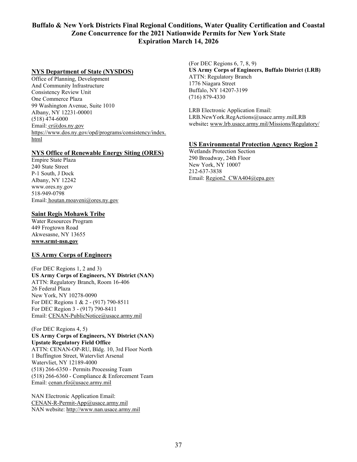### **NYS Department of State (NYSDOS)**

Office of Planning, Development And Community Infrastructure Consistency Review Unit One Commerce Plaza 99 Washington Avenue, Suite 1010 Albany, NY 12231-00001 (518) 474-6000 Email: [cr@dos.ny.gov](mailto:cr@dos.ny.gov) [https://www.dos.ny.gov/opd/programs/consistency/index.](blockedhttps://www.dos.ny.gov/opd/programs/consistency/index.html) [html](blockedhttps://www.dos.ny.gov/opd/programs/consistency/index.html)

#### **NYS Office of Renewable Energy Siting (ORES)**

Empire State Plaza 240 State Street P-1 South, J Dock Albany, NY 12242 www.ores.ny.gov 518-949-0798 Email: houtan.moaveni@ores.ny.gov

#### **Saint Regis Mohawk Tribe**

Water Resources Program 449 Frogtown Road Akwesasne, NY 13655 **www.srmt-nsn.gov**

#### **US Army Corps of Engineers**

(For DEC Regions 1, 2 and 3) **US Army Corps of Engineers, NY District (NAN)** ATTN: Regulatory Branch, Room 16-406 26 Federal Plaza New York, NY 10278-0090 For DEC Regions 1 & 2 - (917) 790-8511 For DEC Region 3 - (917) 790-8411 Email: CENAN-PublicNotice@usace.army.mil

(For DEC Regions 4, 5) **US Army Corps of Engineers, NY District (NAN) Upstate Regulatory Field Office** ATTN: CENAN-OP-RU, Bldg. 10, 3rd Floor North 1 Buffington Street, Watervliet Arsenal Watervliet, NY 12189-4000 (518) 266-6350 - Permits Processing Team (518) 266-6360 - Compliance & Enforcement Team Email: [cenan.rfo@usace.army.mil](mailto:cenan.rfo@usace.army.mil)

NAN Electronic Application Email: [CENAN-R-Permit-App@usace.army.mil](mailto:CENAN-R-Permit-App@usace.army.mil) NAN website: [http://www.nan.usace.army.mil](http://www.nan.usace.army.mil/)

(For DEC Regions 6, 7, 8, 9) **US Army Corps of Engineers, Buffalo District (LRB)** ATTN: Regulatory Branch 1776 Niagara Street Buffalo, NY 14207-3199 (716) 879-4330

LRB Electronic Application Email: LRB.NewYork.RegActions@usace.army.milLRB website**:** [www.lrb.usace.army.mil/Missions/Regulatory/](http://www.lrb.usace.army.mil/Missions/Regulatory/)

#### **US Environmental Protection Agency Region 2**

Wetlands Protection Section 290 Broadway, 24th Floor New York, NY 10007 212-637-3838 Email: Region2 CWA404@epa.gov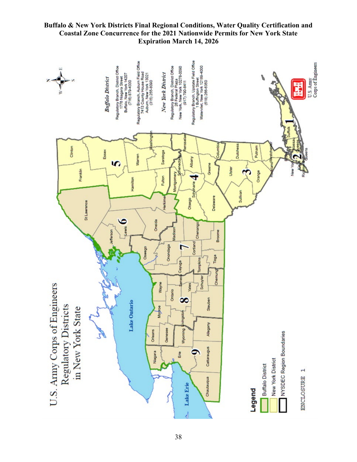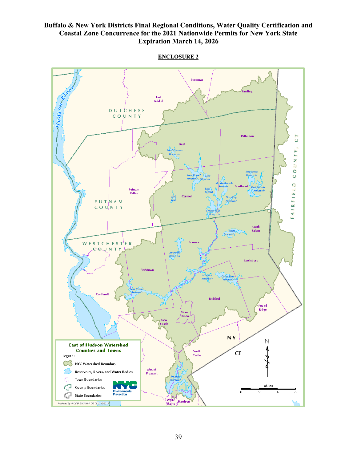

**ENCLOSURE 2**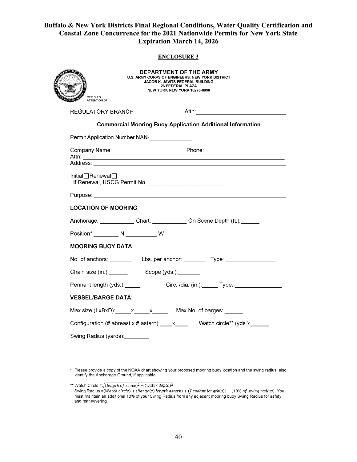#### **ENCLOSURE 3**

| <b>DEPARTMENT OF THE ARMY</b><br><b>U.S. ARMY CORPS OF ENGINEERS, NEW YORK DISTRICT</b><br><u>हित प</u><br>JACOB K. JAVITS FEDERAL BUILDING<br><b>26 FEDERAL PLAZA</b><br>NEW YORK NEW YORK 10278-0090<br>REPLY TO<br><b>ATTENTION OF</b> |  |                                                                                                                |  |
|-------------------------------------------------------------------------------------------------------------------------------------------------------------------------------------------------------------------------------------------|--|----------------------------------------------------------------------------------------------------------------|--|
| REGULATORY BRANCH                                                                                                                                                                                                                         |  | Attn: with the contract of the contract of the contract of the contract of the contract of the contract of the |  |
| <b>Commercial Mooring Buoy Application Additional Information</b>                                                                                                                                                                         |  |                                                                                                                |  |
| Permit Application Number NAN-                                                                                                                                                                                                            |  |                                                                                                                |  |
|                                                                                                                                                                                                                                           |  |                                                                                                                |  |
|                                                                                                                                                                                                                                           |  |                                                                                                                |  |
| Initial□Renewal□                                                                                                                                                                                                                          |  |                                                                                                                |  |
|                                                                                                                                                                                                                                           |  |                                                                                                                |  |
| <b>LOCATION OF MOORING:</b>                                                                                                                                                                                                               |  |                                                                                                                |  |
|                                                                                                                                                                                                                                           |  | Anchorage: Chart: On Scene Depth (ft.):                                                                        |  |
|                                                                                                                                                                                                                                           |  |                                                                                                                |  |
| <b>MOORING BUOY DATA:</b>                                                                                                                                                                                                                 |  |                                                                                                                |  |
|                                                                                                                                                                                                                                           |  |                                                                                                                |  |
| Chain size (in.): Scope (yds.): Chain size (in.):                                                                                                                                                                                         |  |                                                                                                                |  |
|                                                                                                                                                                                                                                           |  | Pennant length (yds.): Circ. /dia. (in.): Type:                                                                |  |
| <b>VESSEL/BARGE DATA:</b>                                                                                                                                                                                                                 |  |                                                                                                                |  |
| Max size $(LxBxD)$ : $x - x$ Max No. of barges:                                                                                                                                                                                           |  |                                                                                                                |  |
| Configuration (# abreast x # astern): x ___ Watch circle** (yds.): _____                                                                                                                                                                  |  |                                                                                                                |  |
| Swing Radius (yards):                                                                                                                                                                                                                     |  |                                                                                                                |  |

\* Please provide a copy of the NOAA chart showing your proposed mooring buoy location and the swing radius; also<br>identify the Anchorage Ground, if applicable

<sup>\*\*</sup> Watch Circle =  $\sqrt{(\text{length of scope})^2 - (\text{water depth})^2}$ Swing Radius = (Watch circle) + (Barge(s) length astern) + (Pendant length(s)) + (10% of swing radius). You must maintain an additional 10% of your Swing Radius from any adjacent mooring buoy Swing Radius for safety and maneuvering.